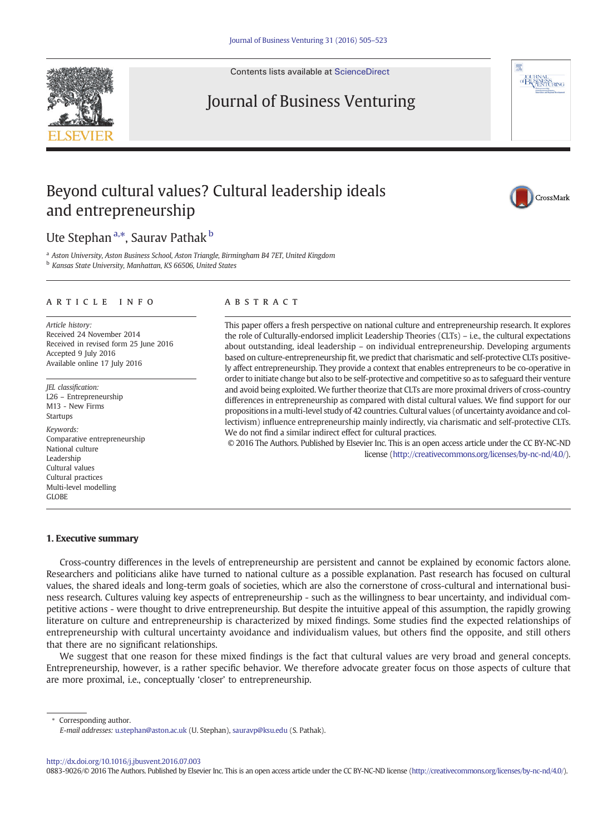Contents lists available at [ScienceDirect](http://www.sciencedirect.com/science/journal/08839026)

# Journal of Business Venturing

# Beyond cultural values? Cultural leadership ideals and entrepreneurship

Ute Stephan<sup>a,\*</sup>, Saurav Pathak b

<sup>a</sup> Aston University, Aston Business School, Aston Triangle, Birmingham B4 7ET, United Kingdom **b** Kansas State University, Manhattan, KS 66506, United States

#### article info abstract

Article history: Received 24 November 2014 Received in revised form 25 June 2016 Accepted 9 July 2016 Available online 17 July 2016

JEL classification: L26 – Entrepreneurship M13 - New Firms Startups Keywords: Comparative entrepreneurship National culture Leadership Cultural values Cultural practices Multi-level modelling GLOBE

This paper offers a fresh perspective on national culture and entrepreneurship research. It explores the role of Culturally-endorsed implicit Leadership Theories (CLTs) – i.e., the cultural expectations about outstanding, ideal leadership – on individual entrepreneurship. Developing arguments based on culture-entrepreneurship fit, we predict that charismatic and self-protective CLTs positively affect entrepreneurship. They provide a context that enables entrepreneurs to be co-operative in order to initiate change but also to be self-protective and competitive so as to safeguard their venture and avoid being exploited. We further theorize that CLTs are more proximal drivers of cross-country differences in entrepreneurship as compared with distal cultural values. We find support for our propositions in a multi-level study of 42 countries. Cultural values (of uncertainty avoidance and collectivism) influence entrepreneurship mainly indirectly, via charismatic and self-protective CLTs. We do not find a similar indirect effect for cultural practices.

© 2016 The Authors. Published by Elsevier Inc. This is an open access article under the CC BY-NC-ND license (http://creativecommons.org/licenses/by-nc-nd/4.0/).

### 1. Executive summary

Cross-country differences in the levels of entrepreneurship are persistent and cannot be explained by economic factors alone. Researchers and politicians alike have turned to national culture as a possible explanation. Past research has focused on cultural values, the shared ideals and long-term goals of societies, which are also the cornerstone of cross-cultural and international business research. Cultures valuing key aspects of entrepreneurship - such as the willingness to bear uncertainty, and individual competitive actions - were thought to drive entrepreneurship. But despite the intuitive appeal of this assumption, the rapidly growing literature on culture and entrepreneurship is characterized by mixed findings. Some studies find the expected relationships of entrepreneurship with cultural uncertainty avoidance and individualism values, but others find the opposite, and still others that there are no significant relationships.

We suggest that one reason for these mixed findings is the fact that cultural values are very broad and general concepts. Entrepreneurship, however, is a rather specific behavior. We therefore advocate greater focus on those aspects of culture that are more proximal, i.e., conceptually 'closer' to entrepreneurship.

<http://dx.doi.org/10.1016/j.jbusvent.2016.07.003>

0883-9026/© 2016 The Authors. Published by Elsevier Inc. This is an open access article under the CC BY-NC-ND license (http://creativecommons.org/licenses/by-nc-nd/4.0/).







Corresponding author. E-mail addresses: [u.stephan@aston.ac.uk](mailto:u.stephan@aston.ac.uk) (U. Stephan), [sauravp@ksu.edu](mailto:sauravp@ksu.edu) (S. Pathak).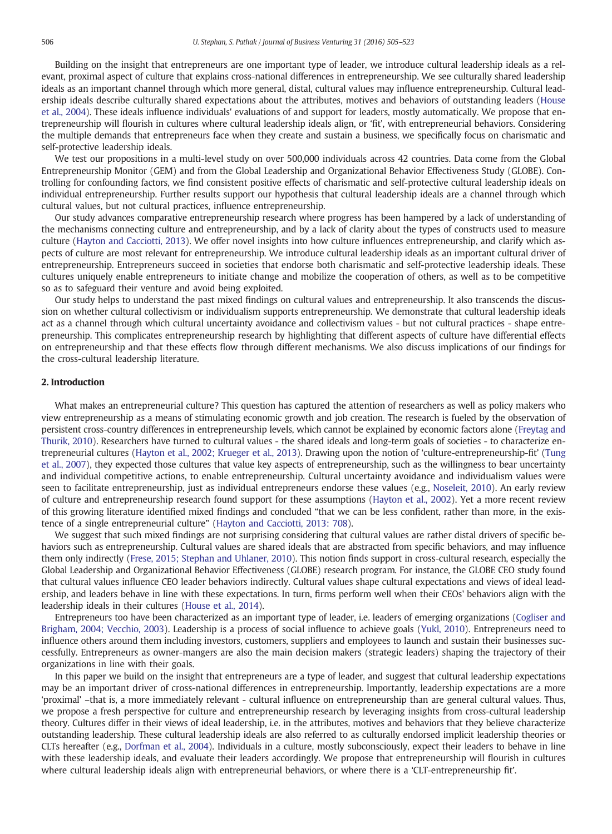Building on the insight that entrepreneurs are one important type of leader, we introduce cultural leadership ideals as a relevant, proximal aspect of culture that explains cross-national differences in entrepreneurship. We see culturally shared leadership ideals as an important channel through which more general, distal, cultural values may influence entrepreneurship. Cultural leadership ideals describe culturally shared expectations about the attributes, motives and behaviors of outstanding leaders ([House](#page-17-0) [et al., 2004](#page-17-0)). These ideals influence individuals' evaluations of and support for leaders, mostly automatically. We propose that entrepreneurship will flourish in cultures where cultural leadership ideals align, or 'fit', with entrepreneurial behaviors. Considering the multiple demands that entrepreneurs face when they create and sustain a business, we specifically focus on charismatic and self-protective leadership ideals.

We test our propositions in a multi-level study on over 500,000 individuals across 42 countries. Data come from the Global Entrepreneurship Monitor (GEM) and from the Global Leadership and Organizational Behavior Effectiveness Study (GLOBE). Controlling for confounding factors, we find consistent positive effects of charismatic and self-protective cultural leadership ideals on individual entrepreneurship. Further results support our hypothesis that cultural leadership ideals are a channel through which cultural values, but not cultural practices, influence entrepreneurship.

Our study advances comparative entrepreneurship research where progress has been hampered by a lack of understanding of the mechanisms connecting culture and entrepreneurship, and by a lack of clarity about the types of constructs used to measure culture [\(Hayton and Cacciotti, 2013\)](#page-17-0). We offer novel insights into how culture influences entrepreneurship, and clarify which aspects of culture are most relevant for entrepreneurship. We introduce cultural leadership ideals as an important cultural driver of entrepreneurship. Entrepreneurs succeed in societies that endorse both charismatic and self-protective leadership ideals. These cultures uniquely enable entrepreneurs to initiate change and mobilize the cooperation of others, as well as to be competitive so as to safeguard their venture and avoid being exploited.

Our study helps to understand the past mixed findings on cultural values and entrepreneurship. It also transcends the discussion on whether cultural collectivism or individualism supports entrepreneurship. We demonstrate that cultural leadership ideals act as a channel through which cultural uncertainty avoidance and collectivism values - but not cultural practices - shape entrepreneurship. This complicates entrepreneurship research by highlighting that different aspects of culture have differential effects on entrepreneurship and that these effects flow through different mechanisms. We also discuss implications of our findings for the cross-cultural leadership literature.

#### 2. Introduction

What makes an entrepreneurial culture? This question has captured the attention of researchers as well as policy makers who view entrepreneurship as a means of stimulating economic growth and job creation. The research is fueled by the observation of persistent cross-country differences in entrepreneurship levels, which cannot be explained by economic factors alone [\(Freytag and](#page-17-0) [Thurik, 2010](#page-17-0)). Researchers have turned to cultural values - the shared ideals and long-term goals of societies - to characterize entrepreneurial cultures ([Hayton et al., 2002; Krueger et al., 2013\)](#page-17-0). Drawing upon the notion of 'culture-entrepreneurship-fit' [\(Tung](#page-18-0) [et al., 2007](#page-18-0)), they expected those cultures that value key aspects of entrepreneurship, such as the willingness to bear uncertainty and individual competitive actions, to enable entrepreneurship. Cultural uncertainty avoidance and individualism values were seen to facilitate entrepreneurship, just as individual entrepreneurs endorse these values (e.g., [Noseleit, 2010\)](#page-18-0). An early review of culture and entrepreneurship research found support for these assumptions ([Hayton et al., 2002](#page-17-0)). Yet a more recent review of this growing literature identified mixed findings and concluded "that we can be less confident, rather than more, in the existence of a single entrepreneurial culture" [\(Hayton and Cacciotti, 2013: 708](#page-17-0)).

We suggest that such mixed findings are not surprising considering that cultural values are rather distal drivers of specific behaviors such as entrepreneurship. Cultural values are shared ideals that are abstracted from specific behaviors, and may influence them only indirectly [\(Frese, 2015; Stephan and Uhlaner, 2010](#page-17-0)). This notion finds support in cross-cultural research, especially the Global Leadership and Organizational Behavior Effectiveness (GLOBE) research program. For instance, the GLOBE CEO study found that cultural values influence CEO leader behaviors indirectly. Cultural values shape cultural expectations and views of ideal leadership, and leaders behave in line with these expectations. In turn, firms perform well when their CEOs' behaviors align with the leadership ideals in their cultures ([House et al., 2014\)](#page-17-0).

Entrepreneurs too have been characterized as an important type of leader, i.e. leaders of emerging organizations [\(Cogliser and](#page-17-0) [Brigham, 2004; Vecchio, 2003\)](#page-17-0). Leadership is a process of social influence to achieve goals ([Yukl, 2010](#page-18-0)). Entrepreneurs need to influence others around them including investors, customers, suppliers and employees to launch and sustain their businesses successfully. Entrepreneurs as owner-mangers are also the main decision makers (strategic leaders) shaping the trajectory of their organizations in line with their goals.

In this paper we build on the insight that entrepreneurs are a type of leader, and suggest that cultural leadership expectations may be an important driver of cross-national differences in entrepreneurship. Importantly, leadership expectations are a more 'proximal' –that is, a more immediately relevant - cultural influence on entrepreneurship than are general cultural values. Thus, we propose a fresh perspective for culture and entrepreneurship research by leveraging insights from cross-cultural leadership theory. Cultures differ in their views of ideal leadership, i.e. in the attributes, motives and behaviors that they believe characterize outstanding leadership. These cultural leadership ideals are also referred to as culturally endorsed implicit leadership theories or CLTs hereafter (e.g., [Dorfman et al., 2004](#page-17-0)). Individuals in a culture, mostly subconsciously, expect their leaders to behave in line with these leadership ideals, and evaluate their leaders accordingly. We propose that entrepreneurship will flourish in cultures where cultural leadership ideals align with entrepreneurial behaviors, or where there is a 'CLT-entrepreneurship fit'.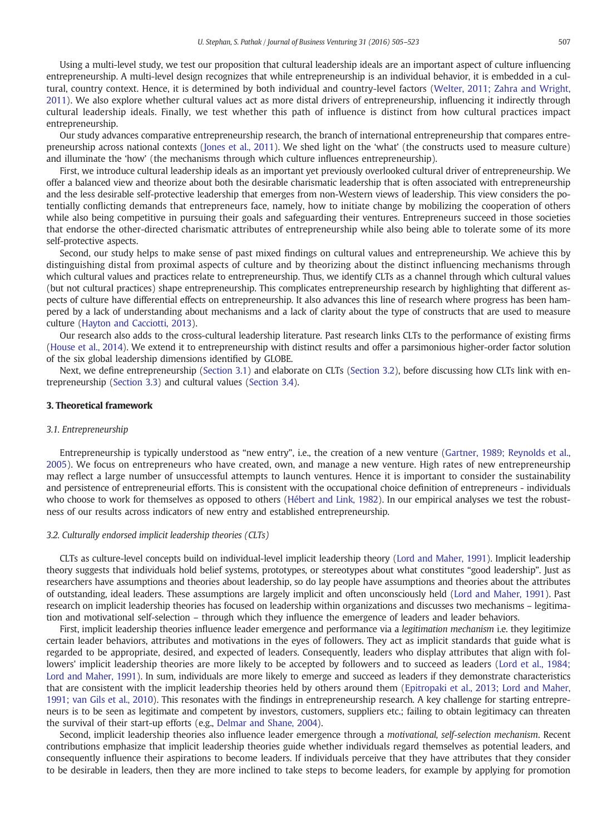<span id="page-2-0"></span>Using a multi-level study, we test our proposition that cultural leadership ideals are an important aspect of culture influencing entrepreneurship. A multi-level design recognizes that while entrepreneurship is an individual behavior, it is embedded in a cultural, country context. Hence, it is determined by both individual and country-level factors [\(Welter, 2011; Zahra and Wright,](#page-18-0) [2011](#page-18-0)). We also explore whether cultural values act as more distal drivers of entrepreneurship, influencing it indirectly through cultural leadership ideals. Finally, we test whether this path of influence is distinct from how cultural practices impact entrepreneurship.

Our study advances comparative entrepreneurship research, the branch of international entrepreneurship that compares entrepreneurship across national contexts [\(Jones et al., 2011\)](#page-17-0). We shed light on the 'what' (the constructs used to measure culture) and illuminate the 'how' (the mechanisms through which culture influences entrepreneurship).

First, we introduce cultural leadership ideals as an important yet previously overlooked cultural driver of entrepreneurship. We offer a balanced view and theorize about both the desirable charismatic leadership that is often associated with entrepreneurship and the less desirable self-protective leadership that emerges from non-Western views of leadership. This view considers the potentially conflicting demands that entrepreneurs face, namely, how to initiate change by mobilizing the cooperation of others while also being competitive in pursuing their goals and safeguarding their ventures. Entrepreneurs succeed in those societies that endorse the other-directed charismatic attributes of entrepreneurship while also being able to tolerate some of its more self-protective aspects.

Second, our study helps to make sense of past mixed findings on cultural values and entrepreneurship. We achieve this by distinguishing distal from proximal aspects of culture and by theorizing about the distinct influencing mechanisms through which cultural values and practices relate to entrepreneurship. Thus, we identify CLTs as a channel through which cultural values (but not cultural practices) shape entrepreneurship. This complicates entrepreneurship research by highlighting that different aspects of culture have differential effects on entrepreneurship. It also advances this line of research where progress has been hampered by a lack of understanding about mechanisms and a lack of clarity about the type of constructs that are used to measure culture ([Hayton and Cacciotti, 2013](#page-17-0)).

Our research also adds to the cross-cultural leadership literature. Past research links CLTs to the performance of existing firms ([House et al., 2014](#page-17-0)). We extend it to entrepreneurship with distinct results and offer a parsimonious higher-order factor solution of the six global leadership dimensions identified by GLOBE.

Next, we define entrepreneurship (Section 3.1) and elaborate on CLTs (Section 3.2), before discussing how CLTs link with entrepreneurship ([Section 3.3](#page-3-0)) and cultural values ([Section 3.4](#page-4-0)).

# 3. Theoretical framework

#### 3.1. Entrepreneurship

Entrepreneurship is typically understood as "new entry", i.e., the creation of a new venture [\(Gartner, 1989; Reynolds et al.,](#page-17-0) [2005\)](#page-17-0). We focus on entrepreneurs who have created, own, and manage a new venture. High rates of new entrepreneurship may reflect a large number of unsuccessful attempts to launch ventures. Hence it is important to consider the sustainability and persistence of entrepreneurial efforts. This is consistent with the occupational choice definition of entrepreneurs - individuals who choose to work for themselves as opposed to others ([Hébert and Link, 1982](#page-17-0)). In our empirical analyses we test the robustness of our results across indicators of new entry and established entrepreneurship.

#### 3.2. Culturally endorsed implicit leadership theories (CLTs)

CLTs as culture-level concepts build on individual-level implicit leadership theory [\(Lord and Maher, 1991\)](#page-17-0). Implicit leadership theory suggests that individuals hold belief systems, prototypes, or stereotypes about what constitutes "good leadership". Just as researchers have assumptions and theories about leadership, so do lay people have assumptions and theories about the attributes of outstanding, ideal leaders. These assumptions are largely implicit and often unconsciously held ([Lord and Maher, 1991\)](#page-17-0). Past research on implicit leadership theories has focused on leadership within organizations and discusses two mechanisms – legitimation and motivational self-selection – through which they influence the emergence of leaders and leader behaviors.

First, implicit leadership theories influence leader emergence and performance via a legitimation mechanism i.e. they legitimize certain leader behaviors, attributes and motivations in the eyes of followers. They act as implicit standards that guide what is regarded to be appropriate, desired, and expected of leaders. Consequently, leaders who display attributes that align with fol-lowers' implicit leadership theories are more likely to be accepted by followers and to succeed as leaders ([Lord et al., 1984;](#page-17-0) [Lord and Maher, 1991](#page-17-0)). In sum, individuals are more likely to emerge and succeed as leaders if they demonstrate characteristics that are consistent with the implicit leadership theories held by others around them [\(Epitropaki et al., 2013; Lord and Maher,](#page-17-0) [1991; van Gils et al., 2010\)](#page-17-0). This resonates with the findings in entrepreneurship research. A key challenge for starting entrepreneurs is to be seen as legitimate and competent by investors, customers, suppliers etc.; failing to obtain legitimacy can threaten the survival of their start-up efforts (e.g., [Delmar and Shane, 2004](#page-17-0)).

Second, implicit leadership theories also influence leader emergence through a motivational, self-selection mechanism. Recent contributions emphasize that implicit leadership theories guide whether individuals regard themselves as potential leaders, and consequently influence their aspirations to become leaders. If individuals perceive that they have attributes that they consider to be desirable in leaders, then they are more inclined to take steps to become leaders, for example by applying for promotion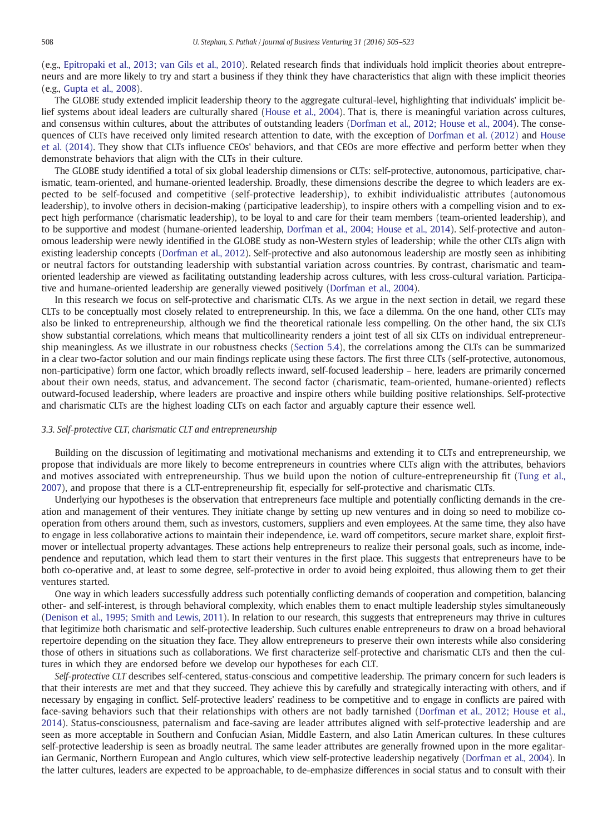<span id="page-3-0"></span>(e.g., [Epitropaki et al., 2013; van Gils et al., 2010\)](#page-17-0). Related research finds that individuals hold implicit theories about entrepreneurs and are more likely to try and start a business if they think they have characteristics that align with these implicit theories (e.g., [Gupta et al., 2008](#page-17-0)).

The GLOBE study extended implicit leadership theory to the aggregate cultural-level, highlighting that individuals' implicit belief systems about ideal leaders are culturally shared ([House et al., 2004\)](#page-17-0). That is, there is meaningful variation across cultures, and consensus within cultures, about the attributes of outstanding leaders ([Dorfman et al., 2012; House et al., 2004](#page-17-0)). The consequences of CLTs have received only limited research attention to date, with the exception of [Dorfman et al. \(2012\)](#page-17-0) and [House](#page-17-0) [et al. \(2014\).](#page-17-0) They show that CLTs influence CEOs' behaviors, and that CEOs are more effective and perform better when they demonstrate behaviors that align with the CLTs in their culture.

The GLOBE study identified a total of six global leadership dimensions or CLTs: self-protective, autonomous, participative, charismatic, team-oriented, and humane-oriented leadership. Broadly, these dimensions describe the degree to which leaders are expected to be self-focused and competitive (self-protective leadership), to exhibit individualistic attributes (autonomous leadership), to involve others in decision-making (participative leadership), to inspire others with a compelling vision and to expect high performance (charismatic leadership), to be loyal to and care for their team members (team-oriented leadership), and to be supportive and modest (humane-oriented leadership, [Dorfman et al., 2004; House et al., 2014](#page-17-0)). Self-protective and autonomous leadership were newly identified in the GLOBE study as non-Western styles of leadership; while the other CLTs align with existing leadership concepts [\(Dorfman et al., 2012\)](#page-17-0). Self-protective and also autonomous leadership are mostly seen as inhibiting or neutral factors for outstanding leadership with substantial variation across countries. By contrast, charismatic and teamoriented leadership are viewed as facilitating outstanding leadership across cultures, with less cross-cultural variation. Participative and humane-oriented leadership are generally viewed positively ([Dorfman et al., 2004\)](#page-17-0).

In this research we focus on self-protective and charismatic CLTs. As we argue in the next section in detail, we regard these CLTs to be conceptually most closely related to entrepreneurship. In this, we face a dilemma. On the one hand, other CLTs may also be linked to entrepreneurship, although we find the theoretical rationale less compelling. On the other hand, the six CLTs show substantial correlations, which means that multicollinearity renders a joint test of all six CLTs on individual entrepreneurship meaningless. As we illustrate in our robustness checks ([Section 5.4\)](#page-11-0), the correlations among the CLTs can be summarized in a clear two-factor solution and our main findings replicate using these factors. The first three CLTs (self-protective, autonomous, non-participative) form one factor, which broadly reflects inward, self-focused leadership – here, leaders are primarily concerned about their own needs, status, and advancement. The second factor (charismatic, team-oriented, humane-oriented) reflects outward-focused leadership, where leaders are proactive and inspire others while building positive relationships. Self-protective and charismatic CLTs are the highest loading CLTs on each factor and arguably capture their essence well.

#### 3.3. Self-protective CLT, charismatic CLT and entrepreneurship

Building on the discussion of legitimating and motivational mechanisms and extending it to CLTs and entrepreneurship, we propose that individuals are more likely to become entrepreneurs in countries where CLTs align with the attributes, behaviors and motives associated with entrepreneurship. Thus we build upon the notion of culture-entrepreneurship fit ([Tung et al.,](#page-18-0) [2007\)](#page-18-0), and propose that there is a CLT-entrepreneurship fit, especially for self-protective and charismatic CLTs.

Underlying our hypotheses is the observation that entrepreneurs face multiple and potentially conflicting demands in the creation and management of their ventures. They initiate change by setting up new ventures and in doing so need to mobilize cooperation from others around them, such as investors, customers, suppliers and even employees. At the same time, they also have to engage in less collaborative actions to maintain their independence, i.e. ward off competitors, secure market share, exploit firstmover or intellectual property advantages. These actions help entrepreneurs to realize their personal goals, such as income, independence and reputation, which lead them to start their ventures in the first place. This suggests that entrepreneurs have to be both co-operative and, at least to some degree, self-protective in order to avoid being exploited, thus allowing them to get their ventures started.

One way in which leaders successfully address such potentially conflicting demands of cooperation and competition, balancing other- and self-interest, is through behavioral complexity, which enables them to enact multiple leadership styles simultaneously [\(Denison et al., 1995; Smith and Lewis, 2011\)](#page-17-0). In relation to our research, this suggests that entrepreneurs may thrive in cultures that legitimize both charismatic and self-protective leadership. Such cultures enable entrepreneurs to draw on a broad behavioral repertoire depending on the situation they face. They allow entrepreneurs to preserve their own interests while also considering those of others in situations such as collaborations. We first characterize self-protective and charismatic CLTs and then the cultures in which they are endorsed before we develop our hypotheses for each CLT.

Self-protective CLT describes self-centered, status-conscious and competitive leadership. The primary concern for such leaders is that their interests are met and that they succeed. They achieve this by carefully and strategically interacting with others, and if necessary by engaging in conflict. Self-protective leaders' readiness to be competitive and to engage in conflicts are paired with face-saving behaviors such that their relationships with others are not badly tarnished ([Dorfman et al., 2012; House et al.,](#page-17-0) [2014](#page-17-0)). Status-consciousness, paternalism and face-saving are leader attributes aligned with self-protective leadership and are seen as more acceptable in Southern and Confucian Asian, Middle Eastern, and also Latin American cultures. In these cultures self-protective leadership is seen as broadly neutral. The same leader attributes are generally frowned upon in the more egalitarian Germanic, Northern European and Anglo cultures, which view self-protective leadership negatively [\(Dorfman et al., 2004](#page-17-0)). In the latter cultures, leaders are expected to be approachable, to de-emphasize differences in social status and to consult with their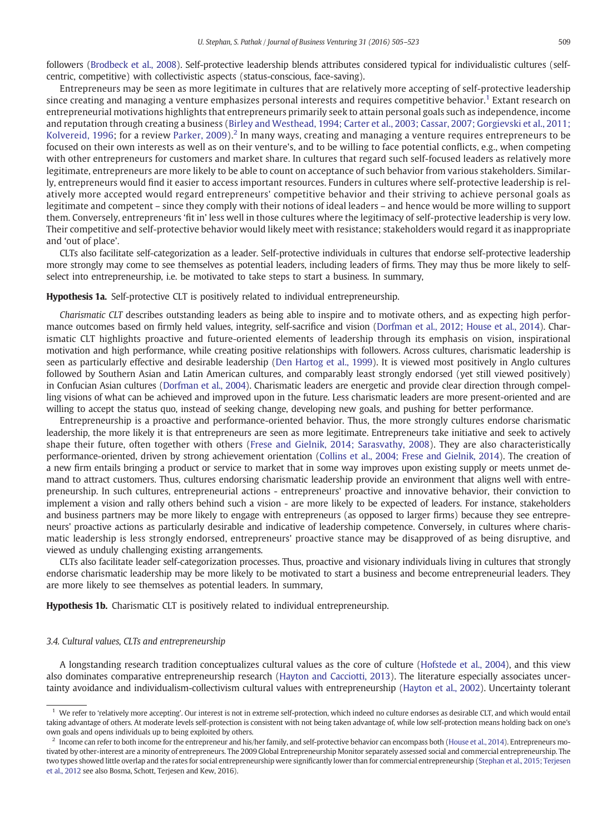<span id="page-4-0"></span>followers ([Brodbeck et al., 2008\)](#page-17-0). Self-protective leadership blends attributes considered typical for individualistic cultures (selfcentric, competitive) with collectivistic aspects (status-conscious, face-saving).

Entrepreneurs may be seen as more legitimate in cultures that are relatively more accepting of self-protective leadership since creating and managing a venture emphasizes personal interests and requires competitive behavior.<sup>1</sup> Extant research on entrepreneurial motivations highlights that entrepreneurs primarily seek to attain personal goals such as independence, income and reputation through creating a business [\(Birley and Westhead, 1994; Carter et al., 2003; Cassar, 2007; Gorgievski et al., 2011;](#page-17-0) [Kolvereid, 1996;](#page-17-0) for a review [Parker, 2009](#page-18-0)).<sup>2</sup> In many ways, creating and managing a venture requires entrepreneurs to be focused on their own interests as well as on their venture's, and to be willing to face potential conflicts, e.g., when competing with other entrepreneurs for customers and market share. In cultures that regard such self-focused leaders as relatively more legitimate, entrepreneurs are more likely to be able to count on acceptance of such behavior from various stakeholders. Similarly, entrepreneurs would find it easier to access important resources. Funders in cultures where self-protective leadership is relatively more accepted would regard entrepreneurs' competitive behavior and their striving to achieve personal goals as legitimate and competent – since they comply with their notions of ideal leaders – and hence would be more willing to support them. Conversely, entrepreneurs 'fit in' less well in those cultures where the legitimacy of self-protective leadership is very low. Their competitive and self-protective behavior would likely meet with resistance; stakeholders would regard it as inappropriate and 'out of place'.

CLTs also facilitate self-categorization as a leader. Self-protective individuals in cultures that endorse self-protective leadership more strongly may come to see themselves as potential leaders, including leaders of firms. They may thus be more likely to selfselect into entrepreneurship, i.e. be motivated to take steps to start a business. In summary,

#### Hypothesis 1a. Self-protective CLT is positively related to individual entrepreneurship.

Charismatic CLT describes outstanding leaders as being able to inspire and to motivate others, and as expecting high performance outcomes based on firmly held values, integrity, self-sacrifice and vision [\(Dorfman et al., 2012; House et al., 2014\)](#page-17-0). Charismatic CLT highlights proactive and future-oriented elements of leadership through its emphasis on vision, inspirational motivation and high performance, while creating positive relationships with followers. Across cultures, charismatic leadership is seen as particularly effective and desirable leadership [\(Den Hartog et al., 1999](#page-17-0)). It is viewed most positively in Anglo cultures followed by Southern Asian and Latin American cultures, and comparably least strongly endorsed (yet still viewed positively) in Confucian Asian cultures [\(Dorfman et al., 2004](#page-17-0)). Charismatic leaders are energetic and provide clear direction through compelling visions of what can be achieved and improved upon in the future. Less charismatic leaders are more present-oriented and are willing to accept the status quo, instead of seeking change, developing new goals, and pushing for better performance.

Entrepreneurship is a proactive and performance-oriented behavior. Thus, the more strongly cultures endorse charismatic leadership, the more likely it is that entrepreneurs are seen as more legitimate. Entrepreneurs take initiative and seek to actively shape their future, often together with others ([Frese and Gielnik, 2014; Sarasvathy, 2008](#page-17-0)). They are also characteristically performance-oriented, driven by strong achievement orientation [\(Collins et al., 2004; Frese and Gielnik, 2014\)](#page-17-0). The creation of a new firm entails bringing a product or service to market that in some way improves upon existing supply or meets unmet demand to attract customers. Thus, cultures endorsing charismatic leadership provide an environment that aligns well with entrepreneurship. In such cultures, entrepreneurial actions - entrepreneurs' proactive and innovative behavior, their conviction to implement a vision and rally others behind such a vision - are more likely to be expected of leaders. For instance, stakeholders and business partners may be more likely to engage with entrepreneurs (as opposed to larger firms) because they see entrepreneurs' proactive actions as particularly desirable and indicative of leadership competence. Conversely, in cultures where charismatic leadership is less strongly endorsed, entrepreneurs' proactive stance may be disapproved of as being disruptive, and viewed as unduly challenging existing arrangements.

CLTs also facilitate leader self-categorization processes. Thus, proactive and visionary individuals living in cultures that strongly endorse charismatic leadership may be more likely to be motivated to start a business and become entrepreneurial leaders. They are more likely to see themselves as potential leaders. In summary,

Hypothesis 1b. Charismatic CLT is positively related to individual entrepreneurship.

### 3.4. Cultural values, CLTs and entrepreneurship

A longstanding research tradition conceptualizes cultural values as the core of culture [\(Hofstede et al., 2004](#page-17-0)), and this view also dominates comparative entrepreneurship research [\(Hayton and Cacciotti, 2013](#page-17-0)). The literature especially associates uncertainty avoidance and individualism-collectivism cultural values with entrepreneurship [\(Hayton et al., 2002\)](#page-17-0). Uncertainty tolerant

 $1$  We refer to 'relatively more accepting'. Our interest is not in extreme self-protection, which indeed no culture endorses as desirable CLT, and which would entail taking advantage of others. At moderate levels self-protection is consistent with not being taken advantage of, while low self-protection means holding back on one's own goals and opens individuals up to being exploited by others.

 $^2$  Income can refer to both income for the entrepreneur and his/her family, and self-protective behavior can encompass both [\(House et al., 2014](#page-17-0)). Entrepreneurs motivated by other-interest are a minority of entrepreneurs. The 2009 Global Entrepreneurship Monitor separately assessed social and commercial entrepreneurship. The two types showed little overlap and the rates for social entrepreneurship were significantly lower than for commercial entrepreneurship ([Stephan et al., 2015; Terjesen](#page-18-0) [et al., 2012](#page-18-0) see also Bosma, Schott, Terjesen and Kew, 2016).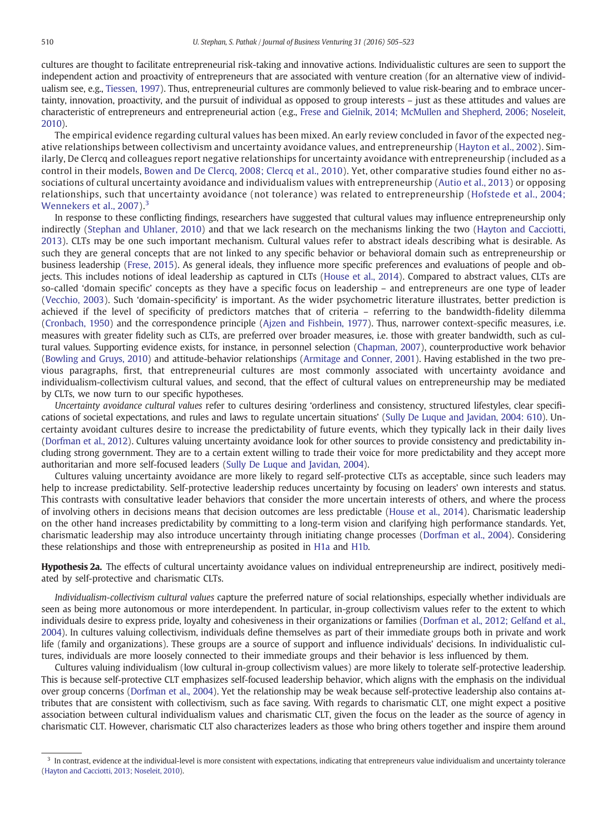<span id="page-5-0"></span>cultures are thought to facilitate entrepreneurial risk-taking and innovative actions. Individualistic cultures are seen to support the independent action and proactivity of entrepreneurs that are associated with venture creation (for an alternative view of individualism see, e.g., [Tiessen, 1997](#page-18-0)). Thus, entrepreneurial cultures are commonly believed to value risk-bearing and to embrace uncertainty, innovation, proactivity, and the pursuit of individual as opposed to group interests – just as these attitudes and values are characteristic of entrepreneurs and entrepreneurial action (e.g., [Frese and Gielnik, 2014; McMullen and Shepherd, 2006; Noseleit,](#page-17-0) [2010\)](#page-17-0).

The empirical evidence regarding cultural values has been mixed. An early review concluded in favor of the expected negative relationships between collectivism and uncertainty avoidance values, and entrepreneurship ([Hayton et al., 2002](#page-17-0)). Similarly, De Clercq and colleagues report negative relationships for uncertainty avoidance with entrepreneurship (included as a control in their models, Bowen and De Clercq, [2008; Clercq et al., 2010\)](#page-17-0). Yet, other comparative studies found either no associations of cultural uncertainty avoidance and individualism values with entrepreneurship ([Autio et al., 2013](#page-17-0)) or opposing relationships, such that uncertainty avoidance (not tolerance) was related to entrepreneurship ([Hofstede et al., 2004;](#page-17-0) Wennekers et al.,  $2007$ ).<sup>3</sup>

In response to these conflicting findings, researchers have suggested that cultural values may influence entrepreneurship only indirectly [\(Stephan and Uhlaner, 2010](#page-18-0)) and that we lack research on the mechanisms linking the two [\(Hayton and Cacciotti,](#page-17-0) [2013](#page-17-0)). CLTs may be one such important mechanism. Cultural values refer to abstract ideals describing what is desirable. As such they are general concepts that are not linked to any specific behavior or behavioral domain such as entrepreneurship or business leadership [\(Frese, 2015](#page-17-0)). As general ideals, they influence more specific preferences and evaluations of people and objects. This includes notions of ideal leadership as captured in CLTs [\(House et al., 2014\)](#page-17-0). Compared to abstract values, CLTs are so-called 'domain specific' concepts as they have a specific focus on leadership – and entrepreneurs are one type of leader [\(Vecchio, 2003\)](#page-18-0). Such 'domain-specificity' is important. As the wider psychometric literature illustrates, better prediction is achieved if the level of specificity of predictors matches that of criteria – referring to the bandwidth-fidelity dilemma [\(Cronbach, 1950](#page-17-0)) and the correspondence principle [\(Ajzen and Fishbein, 1977\)](#page-16-0). Thus, narrower context-specific measures, i.e. measures with greater fidelity such as CLTs, are preferred over broader measures, i.e. those with greater bandwidth, such as cultural values. Supporting evidence exists, for instance, in personnel selection ([Chapman, 2007](#page-17-0)), counterproductive work behavior [\(Bowling and Gruys, 2010](#page-17-0)) and attitude-behavior relationships [\(Armitage and Conner, 2001](#page-16-0)). Having established in the two previous paragraphs, first, that entrepreneurial cultures are most commonly associated with uncertainty avoidance and individualism-collectivism cultural values, and second, that the effect of cultural values on entrepreneurship may be mediated by CLTs, we now turn to our specific hypotheses.

Uncertainty avoidance cultural values refer to cultures desiring 'orderliness and consistency, structured lifestyles, clear specifications of societal expectations, and rules and laws to regulate uncertain situations' [\(Sully De Luque and Javidan, 2004: 610\)](#page-18-0). Uncertainty avoidant cultures desire to increase the predictability of future events, which they typically lack in their daily lives [\(Dorfman et al., 2012\)](#page-17-0). Cultures valuing uncertainty avoidance look for other sources to provide consistency and predictability including strong government. They are to a certain extent willing to trade their voice for more predictability and they accept more authoritarian and more self-focused leaders [\(Sully De Luque and Javidan, 2004](#page-18-0)).

Cultures valuing uncertainty avoidance are more likely to regard self-protective CLTs as acceptable, since such leaders may help to increase predictability. Self-protective leadership reduces uncertainty by focusing on leaders' own interests and status. This contrasts with consultative leader behaviors that consider the more uncertain interests of others, and where the process of involving others in decisions means that decision outcomes are less predictable [\(House et al., 2014](#page-17-0)). Charismatic leadership on the other hand increases predictability by committing to a long-term vision and clarifying high performance standards. Yet, charismatic leadership may also introduce uncertainty through initiating change processes [\(Dorfman et al., 2004](#page-17-0)). Considering these relationships and those with entrepreneurship as posited in [H1a](#page-4-0) and [H1b](#page-4-0).

Hypothesis 2a. The effects of cultural uncertainty avoidance values on individual entrepreneurship are indirect, positively mediated by self-protective and charismatic CLTs.

Individualism-collectivism cultural values capture the preferred nature of social relationships, especially whether individuals are seen as being more autonomous or more interdependent. In particular, in-group collectivism values refer to the extent to which individuals desire to express pride, loyalty and cohesiveness in their organizations or families [\(Dorfman et al., 2012; Gelfand et al.,](#page-17-0) [2004\)](#page-17-0). In cultures valuing collectivism, individuals define themselves as part of their immediate groups both in private and work life (family and organizations). These groups are a source of support and influence individuals' decisions. In individualistic cultures, individuals are more loosely connected to their immediate groups and their behavior is less influenced by them.

Cultures valuing individualism (low cultural in-group collectivism values) are more likely to tolerate self-protective leadership. This is because self-protective CLT emphasizes self-focused leadership behavior, which aligns with the emphasis on the individual over group concerns [\(Dorfman et al., 2004](#page-17-0)). Yet the relationship may be weak because self-protective leadership also contains attributes that are consistent with collectivism, such as face saving. With regards to charismatic CLT, one might expect a positive association between cultural individualism values and charismatic CLT, given the focus on the leader as the source of agency in charismatic CLT. However, charismatic CLT also characterizes leaders as those who bring others together and inspire them around

<sup>&</sup>lt;sup>3</sup> In contrast, evidence at the individual-level is more consistent with expectations, indicating that entrepreneurs value individualism and uncertainty tolerance ([Hayton and Cacciotti, 2013; Noseleit, 2010\)](#page-17-0).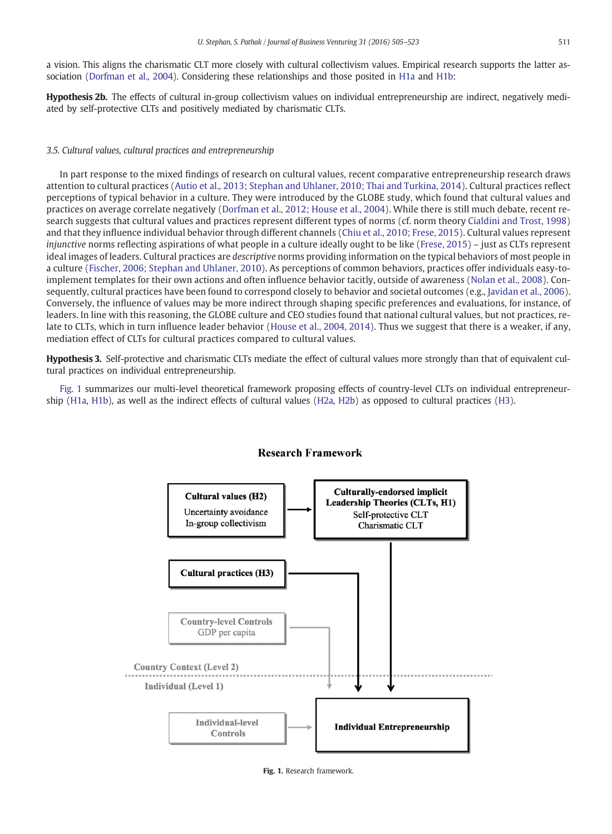<span id="page-6-0"></span>a vision. This aligns the charismatic CLT more closely with cultural collectivism values. Empirical research supports the latter association [\(Dorfman et al., 2004\)](#page-17-0). Considering these relationships and those posited in [H1a](#page-4-0) and [H1b:](#page-4-0)

Hypothesis 2b. The effects of cultural in-group collectivism values on individual entrepreneurship are indirect, negatively mediated by self-protective CLTs and positively mediated by charismatic CLTs.

#### 3.5. Cultural values, cultural practices and entrepreneurship

In part response to the mixed findings of research on cultural values, recent comparative entrepreneurship research draws attention to cultural practices ([Autio et al., 2013; Stephan and Uhlaner, 2010; Thai and Turkina, 2014](#page-17-0)). Cultural practices reflect perceptions of typical behavior in a culture. They were introduced by the GLOBE study, which found that cultural values and practices on average correlate negatively ([Dorfman et al., 2012; House et al., 2004](#page-17-0)). While there is still much debate, recent research suggests that cultural values and practices represent different types of norms (cf. norm theory [Cialdini and Trost, 1998](#page-17-0)) and that they influence individual behavior through different channels [\(Chiu et al., 2010; Frese, 2015](#page-17-0)). Cultural values represent injunctive norms reflecting aspirations of what people in a culture ideally ought to be like ([Frese, 2015\)](#page-17-0) – just as CLTs represent ideal images of leaders. Cultural practices are descriptive norms providing information on the typical behaviors of most people in a culture [\(Fischer, 2006; Stephan and Uhlaner, 2010](#page-17-0)). As perceptions of common behaviors, practices offer individuals easy-toimplement templates for their own actions and often influence behavior tacitly, outside of awareness ([Nolan et al., 2008\)](#page-18-0). Con-sequently, cultural practices have been found to correspond closely to behavior and societal outcomes (e.g., [Javidan et al., 2006](#page-17-0)). Conversely, the influence of values may be more indirect through shaping specific preferences and evaluations, for instance, of leaders. In line with this reasoning, the GLOBE culture and CEO studies found that national cultural values, but not practices, relate to CLTs, which in turn influence leader behavior ([House et al., 2004, 2014](#page-17-0)). Thus we suggest that there is a weaker, if any, mediation effect of CLTs for cultural practices compared to cultural values.

Hypothesis 3. Self-protective and charismatic CLTs mediate the effect of cultural values more strongly than that of equivalent cultural practices on individual entrepreneurship.

Fig. 1 summarizes our multi-level theoretical framework proposing effects of country-level CLTs on individual entrepreneurship ([H1a,](#page-4-0) [H1b](#page-4-0)), as well as the indirect effects of cultural values [\(H2a](#page-5-0), H2b) as opposed to cultural practices (H3).



# **Research Framework**

Fig. 1. Research framework.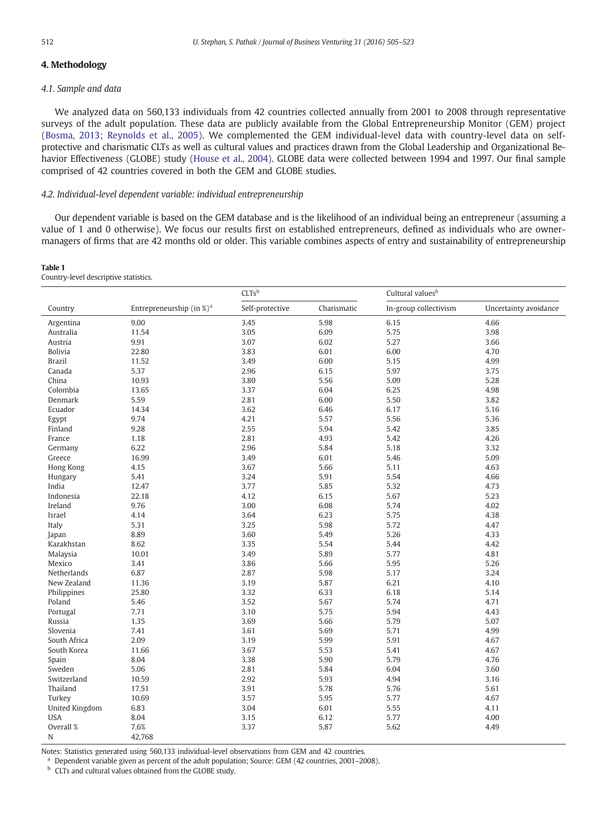# <span id="page-7-0"></span>4. Methodology

## 4.1. Sample and data

We analyzed data on 560,133 individuals from 42 countries collected annually from 2001 to 2008 through representative surveys of the adult population. These data are publicly available from the Global Entrepreneurship Monitor (GEM) project [\(Bosma, 2013; Reynolds et al., 2005](#page-17-0)). We complemented the GEM individual-level data with country-level data on selfprotective and charismatic CLTs as well as cultural values and practices drawn from the Global Leadership and Organizational Behavior Effectiveness (GLOBE) study [\(House et al., 2004](#page-17-0)). GLOBE data were collected between 1994 and 1997. Our final sample comprised of 42 countries covered in both the GEM and GLOBE studies.

#### 4.2. Individual-level dependent variable: individual entrepreneurship

Our dependent variable is based on the GEM database and is the likelihood of an individual being an entrepreneur (assuming a value of 1 and 0 otherwise). We focus our results first on established entrepreneurs, defined as individuals who are ownermanagers of firms that are 42 months old or older. This variable combines aspects of entry and sustainability of entrepreneurship

| rabie i                               |  |
|---------------------------------------|--|
| Country-level descriptive statistics. |  |

 $T = T$ 

|                |                                                   | $CLTs^b$        |             | Cultural values <sup>b</sup> |                       |  |
|----------------|---------------------------------------------------|-----------------|-------------|------------------------------|-----------------------|--|
| Country        | Entrepreneurship (in $\frac{1}{2}$ ) <sup>a</sup> | Self-protective | Charismatic | In-group collectivism        | Uncertainty avoidance |  |
| Argentina      | 9.00                                              | 3.45            | 5.98        | 6.15                         | 4.66                  |  |
| Australia      | 11.54                                             | 3.05            | 6.09        | 5.75                         | 3.98                  |  |
| Austria        | 9.91                                              | 3.07            | 6.02        | 5.27                         | 3.66                  |  |
| <b>Bolivia</b> | 22.80                                             | 3.83            | 6.01        | 6.00                         | 4.70                  |  |
| <b>Brazil</b>  | 11.52                                             | 3.49            | 6.00        | 5.15                         | 4.99                  |  |
| Canada         | 5.37                                              | 2.96            | 6.15        | 5.97                         | 3.75                  |  |
| China          | 10.93                                             | 3.80            | 5.56        | 5.09                         | 5.28                  |  |
| Colombia       | 13.65                                             | 3.37            | 6.04        | 6.25                         | 4.98                  |  |
| Denmark        | 5.59                                              | 2.81            | 6.00        | 5.50                         | 3.82                  |  |
| Ecuador        | 14.34                                             | 3.62            | 6.46        | 6.17                         | 5.16                  |  |
| Egypt          | 9.74                                              | 4.21            | 5.57        | 5.56                         | 5.36                  |  |
| Finland        | 9.28                                              | 2.55            | 5.94        | 5.42                         | 3.85                  |  |
| France         | 1.18                                              | 2.81            | 4.93        | 5.42                         | 4.26                  |  |
| Germany        | 6.22                                              | 2.96            | 5.84        | 5.18                         | 3.32                  |  |
| Greece         | 16.99                                             | 3.49            | 6.01        | 5.46                         | 5.09                  |  |
| Hong Kong      | 4.15                                              | 3.67            | 5.66        | 5.11                         | 4.63                  |  |
| Hungary        | 5.41                                              | 3.24            | 5.91        | 5.54                         | 4.66                  |  |
| India          | 12.47                                             | 3.77            | 5.85        | 5.32                         | 4.73                  |  |
| Indonesia      | 22.18                                             | 4.12            | 6.15        | 5.67                         | 5.23                  |  |
| Ireland        | 9.76                                              | 3.00            | 6.08        | 5.74                         | 4.02                  |  |
| Israel         | 4.14                                              | 3.64            | 6.23        | 5.75                         | 4.38                  |  |
| Italy          | 5.31                                              | 3.25            | 5.98        | 5.72                         | 4.47                  |  |
| Japan          | 8.89                                              | 3.60            | 5.49        | 5.26                         | 4.33                  |  |
| Kazakhstan     | 8.62                                              | 3.35            | 5.54        | 5.44                         | 4.42                  |  |
| Malaysia       | 10.01                                             | 3.49            | 5.89        | 5.77                         | 4.81                  |  |
| Mexico         | 3.41                                              | 3.86            | 5.66        | 5.95                         | 5.26                  |  |
| Netherlands    | 6.87                                              | 2.87            | 5.98        | 5.17                         | 3.24                  |  |
| New Zealand    | 11.36                                             | 3.19            | 5.87        | 6.21                         | 4.10                  |  |
| Philippines    | 25.80                                             | 3.32            | 6.33        | 6.18                         | 5.14                  |  |
| Poland         | 5.46                                              | 3.52            | 5.67        | 5.74                         | 4.71                  |  |
| Portugal       | 7.71                                              | 3.10            | 5.75        | 5.94                         | 4.43                  |  |
| Russia         | 1.35                                              | 3.69            | 5.66        | 5.79                         | 5.07                  |  |
| Slovenia       | 7.41                                              | 3.61            | 5.69        | 5.71                         | 4.99                  |  |
| South Africa   | 2.09                                              | 3.19            | 5.99        | 5.91                         | 4.67                  |  |
| South Korea    | 11.66                                             | 3.67            | 5.53        | 5.41                         | 4.67                  |  |
| Spain          | 8.04                                              | 3.38            | 5.90        | 5.79                         | 4.76                  |  |
| Sweden         | 5.06                                              | 2.81            | 5.84        | 6.04                         | 3.60                  |  |
| Switzerland    | 10.59                                             | 2.92            | 5.93        | 4.94                         | 3.16                  |  |
| Thailand       | 17.51                                             | 3.91            | 5.78        | 5.76                         | 5.61                  |  |
| Turkey         | 10.69                                             | 3.57            | 5.95        | 5.77                         | 4.67                  |  |
| United Kingdom | 6.83                                              | 3.04            | 6.01        | 5.55                         | 4.11                  |  |
| <b>USA</b>     | 8.04                                              | 3.15            | 6.12        | 5.77                         | 4.00                  |  |
| Overall %      | 7.6%                                              | 3.37            | 5.87        | 5.62                         | 4.49                  |  |
| N              | 42,768                                            |                 |             |                              |                       |  |

Notes: Statistics generated using 560,133 individual-level observations from GEM and 42 countries.

<sup>a</sup> Dependent variable given as percent of the adult population; Source: GEM (42 countries, 2001–2008).

**b** CLTs and cultural values obtained from the GLOBE study.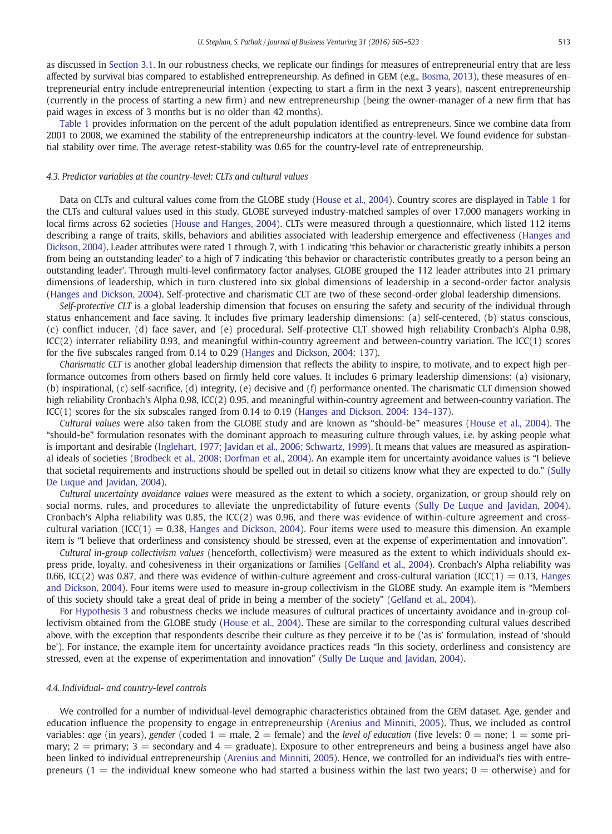as discussed in [Section 3.1](#page-2-0). In our robustness checks, we replicate our findings for measures of entrepreneurial entry that are less affected by survival bias compared to established entrepreneurship. As defined in GEM (e.g., [Bosma, 2013\)](#page-17-0), these measures of entrepreneurial entry include entrepreneurial intention (expecting to start a firm in the next 3 years), nascent entrepreneurship (currently in the process of starting a new firm) and new entrepreneurship (being the owner-manager of a new firm that has paid wages in excess of 3 months but is no older than 42 months).

[Table 1](#page-7-0) provides information on the percent of the adult population identified as entrepreneurs. Since we combine data from 2001 to 2008, we examined the stability of the entrepreneurship indicators at the country-level. We found evidence for substantial stability over time. The average retest-stability was 0.65 for the country-level rate of entrepreneurship.

#### 4.3. Predictor variables at the country-level: CLTs and cultural values

Data on CLTs and cultural values come from the GLOBE study [\(House et al., 2004\)](#page-17-0). Country scores are displayed in [Table 1](#page-7-0) for the CLTs and cultural values used in this study. GLOBE surveyed industry-matched samples of over 17,000 managers working in local firms across 62 societies ([House and Hanges, 2004\)](#page-17-0). CLTs were measured through a questionnaire, which listed 112 items describing a range of traits, skills, behaviors and abilities associated with leadership emergence and effectiveness ([Hanges and](#page-17-0) [Dickson, 2004](#page-17-0)). Leader attributes were rated 1 through 7, with 1 indicating 'this behavior or characteristic greatly inhibits a person from being an outstanding leader' to a high of 7 indicating 'this behavior or characteristic contributes greatly to a person being an outstanding leader'. Through multi-level confirmatory factor analyses, GLOBE grouped the 112 leader attributes into 21 primary dimensions of leadership, which in turn clustered into six global dimensions of leadership in a second-order factor analysis ([Hanges and Dickson, 2004](#page-17-0)). Self-protective and charismatic CLT are two of these second-order global leadership dimensions.

Self-protective CLT is a global leadership dimension that focuses on ensuring the safety and security of the individual through status enhancement and face saving. It includes five primary leadership dimensions: (a) self-centered, (b) status conscious, (c) conflict inducer, (d) face saver, and (e) procedural. Self-protective CLT showed high reliability Cronbach's Alpha 0.98,  $ICC(2)$  interrater reliability 0.93, and meaningful within-country agreement and between-country variation. The  $ICC(1)$  scores for the five subscales ranged from 0.14 to 0.29 [\(Hanges and Dickson, 2004: 137\)](#page-17-0).

Charismatic CLT is another global leadership dimension that reflects the ability to inspire, to motivate, and to expect high performance outcomes from others based on firmly held core values. It includes 6 primary leadership dimensions: (a) visionary, (b) inspirational, (c) self-sacrifice, (d) integrity, (e) decisive and (f) performance oriented. The charismatic CLT dimension showed high reliability Cronbach's Alpha 0.98, ICC(2) 0.95, and meaningful within-country agreement and between-country variation. The ICC(1) scores for the six subscales ranged from 0.14 to 0.19 [\(Hanges and Dickson, 2004: 134](#page-17-0)–137).

Cultural values were also taken from the GLOBE study and are known as "should-be" measures ([House et al., 2004\)](#page-17-0). The "should-be" formulation resonates with the dominant approach to measuring culture through values, i.e. by asking people what is important and desirable ([Inglehart, 1977; Javidan et al., 2006; Schwartz, 1999\)](#page-17-0). It means that values are measured as aspirational ideals of societies [\(Brodbeck et al., 2008; Dorfman et al., 2004\)](#page-17-0). An example item for uncertainty avoidance values is "I believe that societal requirements and instructions should be spelled out in detail so citizens know what they are expected to do." [\(Sully](#page-18-0) [De Luque and Javidan, 2004\)](#page-18-0).

Cultural uncertainty avoidance values were measured as the extent to which a society, organization, or group should rely on social norms, rules, and procedures to alleviate the unpredictability of future events ([Sully De Luque and Javidan, 2004](#page-18-0)). Cronbach's Alpha reliability was 0.85, the  $ICC(2)$  was 0.96, and there was evidence of within-culture agreement and cross-cultural variation (ICC(1) = 0.38, [Hanges and Dickson, 2004\)](#page-17-0). Four items were used to measure this dimension. An example item is "I believe that orderliness and consistency should be stressed, even at the expense of experimentation and innovation".

Cultural in-group collectivism values (henceforth, collectivism) were measured as the extent to which individuals should express pride, loyalty, and cohesiveness in their organizations or families ([Gelfand et al., 2004](#page-17-0)). Cronbach's Alpha reliability was 0.66, ICC(2) was 0.87, and there was evidence of within-culture agreement and cross-cultural variation (ICC(1) = 0.13, [Hanges](#page-17-0) [and Dickson, 2004](#page-17-0)). Four items were used to measure in-group collectivism in the GLOBE study. An example item is "Members of this society should take a great deal of pride in being a member of the society" ([Gelfand et al., 2004](#page-17-0)).

For [Hypothesis 3](#page-6-0) and robustness checks we include measures of cultural practices of uncertainty avoidance and in-group collectivism obtained from the GLOBE study ([House et al., 2004](#page-17-0)). These are similar to the corresponding cultural values described above, with the exception that respondents describe their culture as they perceive it to be ('as is' formulation, instead of 'should be'). For instance, the example item for uncertainty avoidance practices reads "In this society, orderliness and consistency are stressed, even at the expense of experimentation and innovation" ([Sully De Luque and Javidan, 2004\)](#page-18-0).

#### 4.4. Individual- and country-level controls

We controlled for a number of individual-level demographic characteristics obtained from the GEM dataset. Age, gender and education influence the propensity to engage in entrepreneurship ([Arenius and Minniti, 2005\)](#page-16-0). Thus, we included as control variables: age (in years), gender (coded  $1 =$  male,  $2 =$  female) and the level of education (five levels:  $0 =$  none;  $1 =$  some primary;  $2 =$  primary;  $3 =$  secondary and  $4 =$  graduate). Exposure to other entrepreneurs and being a business angel have also been linked to individual entrepreneurship [\(Arenius and Minniti, 2005\)](#page-16-0). Hence, we controlled for an individual's ties with entrepreneurs (1 = the individual knew someone who had started a business within the last two years; 0 = otherwise) and for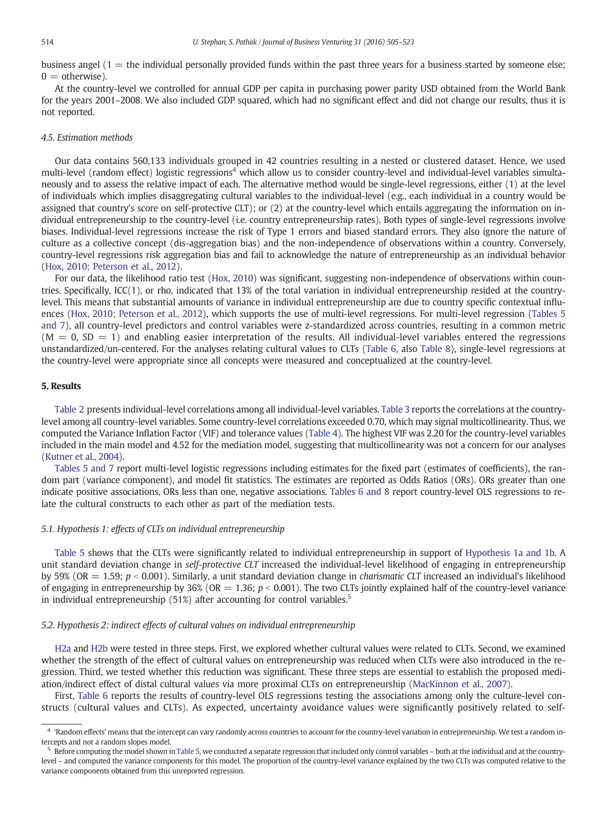<span id="page-9-0"></span>business angel  $(1 =$  the individual personally provided funds within the past three years for a business started by someone else;  $0 =$  otherwise).

At the country-level we controlled for annual GDP per capita in purchasing power parity USD obtained from the World Bank for the years 2001–2008. We also included GDP squared, which had no significant effect and did not change our results, thus it is not reported.

# 4.5. Estimation methods

Our data contains 560,133 individuals grouped in 42 countries resulting in a nested or clustered dataset. Hence, we used multi-level (random effect) logistic regressions<sup>4</sup> which allow us to consider country-level and individual-level variables simultaneously and to assess the relative impact of each. The alternative method would be single-level regressions, either (1) at the level of individuals which implies disaggregating cultural variables to the individual-level (e.g., each individual in a country would be assigned that country's score on self-protective CLT); or (2) at the country-level which entails aggregating the information on individual entrepreneurship to the country-level (i.e. country entrepreneurship rates). Both types of single-level regressions involve biases. Individual-level regressions increase the risk of Type 1 errors and biased standard errors. They also ignore the nature of culture as a collective concept (dis-aggregation bias) and the non-independence of observations within a country. Conversely, country-level regressions risk aggregation bias and fail to acknowledge the nature of entrepreneurship as an individual behavior [\(Hox, 2010; Peterson et al., 2012\)](#page-17-0).

For our data, the likelihood ratio test [\(Hox, 2010](#page-17-0)) was significant, suggesting non-independence of observations within countries. Specifically, ICC(1), or rho, indicated that 13% of the total variation in individual entrepreneurship resided at the countrylevel. This means that substantial amounts of variance in individual entrepreneurship are due to country specific contextual influences [\(Hox, 2010; Peterson et al., 2012](#page-17-0)), which supports the use of multi-level regressions. For multi-level regression [\(Tables 5](#page-11-0) [and 7\)](#page-11-0), all country-level predictors and control variables were z-standardized across countries, resulting in a common metric  $(M = 0, SD = 1)$  and enabling easier interpretation of the results. All individual-level variables entered the regressions unstandardized/un-centered. For the analyses relating cultural values to CLTs ([Table 6](#page-12-0), also [Table 8\)](#page-13-0), single-level regressions at the country-level were appropriate since all concepts were measured and conceptualized at the country-level.

### 5. Results

[Table 2](#page-10-0) presents individual-level correlations among all individual-level variables. [Table 3](#page-10-0) reports the correlations at the countrylevel among all country-level variables. Some country-level correlations exceeded 0.70, which may signal multicollinearity. Thus, we computed the Variance Inflation Factor (VIF) and tolerance values ([Table 4](#page-11-0)). The highest VIF was 2.20 for the country-level variables included in the main model and 4.52 for the mediation model, suggesting that multicollinearity was not a concern for our analyses [\(Kutner et al., 2004\)](#page-17-0).

[Tables 5 and 7](#page-11-0) report multi-level logistic regressions including estimates for the fixed part (estimates of coefficients), the random part (variance component), and model fit statistics. The estimates are reported as Odds Ratios (ORs). ORs greater than one indicate positive associations, ORs less than one, negative associations. [Tables 6 and 8](#page-12-0) report country-level OLS regressions to relate the cultural constructs to each other as part of the mediation tests.

#### 5.1. Hypothesis 1: effects of CLTs on individual entrepreneurship

[Table 5](#page-11-0) shows that the CLTs were significantly related to individual entrepreneurship in support of [Hypothesis 1a and 1b](#page-4-0). A unit standard deviation change in self-protective CLT increased the individual-level likelihood of engaging in entrepreneurship by 59% (OR = 1.59;  $p < 0.001$ ). Similarly, a unit standard deviation change in *charismatic CLT* increased an individual's likelihood of engaging in entrepreneurship by 36% (OR = 1.36;  $p < 0.001$ ). The two CLTs jointly explained half of the country-level variance in individual entrepreneurship  $(51%)$  after accounting for control variables.<sup>5</sup>

#### 5.2. Hypothesis 2: indirect effects of cultural values on individual entrepreneurship

[H2a](#page-5-0) and [H2b](#page-6-0) were tested in three steps. First, we explored whether cultural values were related to CLTs. Second, we examined whether the strength of the effect of cultural values on entrepreneurship was reduced when CLTs were also introduced in the regression. Third, we tested whether this reduction was significant. These three steps are essential to establish the proposed mediation/indirect effect of distal cultural values via more proximal CLTs on entrepreneurship [\(MacKinnon et al., 2007\)](#page-17-0).

First, [Table 6](#page-12-0) reports the results of country-level OLS regressions testing the associations among only the culture-level constructs (cultural values and CLTs). As expected, uncertainty avoidance values were significantly positively related to self-

<sup>&</sup>lt;sup>4</sup> 'Random effects' means that the intercept can vary randomly across countries to account for the country-level variation in entrepreneurship. We test a random intercepts and not a random slopes model.

 $5\,$  Before computing the model shown in [Table 5](#page-11-0), we conducted a separate regression that included only control variables – both at the individual and at the countrylevel – and computed the variance components for this model. The proportion of the country-level variance explained by the two CLTs was computed relative to the variance components obtained from this unreported regression.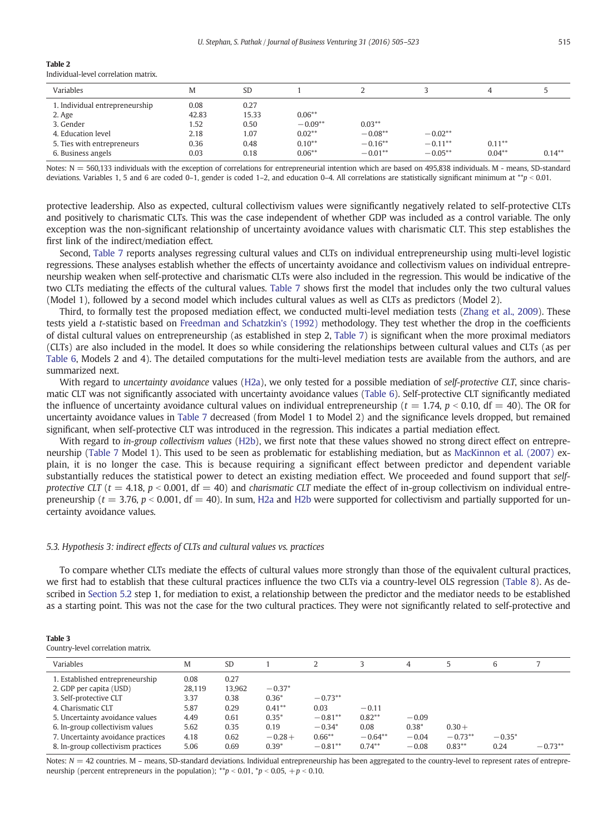| Table 2 |                                      |  |
|---------|--------------------------------------|--|
|         | Individual-level correlation matrix. |  |

<span id="page-10-0"></span> $T = 1.12$ 

| Variables                                        | M             | <b>SD</b>     |                       |                        |                        |                        |           |
|--------------------------------------------------|---------------|---------------|-----------------------|------------------------|------------------------|------------------------|-----------|
| 1. Individual entrepreneurship<br>2. Age         | 0.08<br>42.83 | 0.27<br>15.33 | $0.06***$             |                        |                        |                        |           |
| 3. Gender<br>4. Education level                  | 1.52<br>2.18  | 0.50<br>1.07  | $-0.09**$<br>$0.02**$ | $0.03***$<br>$-0.08**$ | $-0.02**$              |                        |           |
| 5. Ties with entrepreneurs<br>6. Business angels | 0.36<br>0.03  | 0.48<br>0.18  | $0.10**$<br>$0.06***$ | $-0.16**$<br>$-0.01**$ | $-0.11**$<br>$-0.05**$ | $0.11***$<br>$0.04***$ | $0.14***$ |

Notes: N = 560,133 individuals with the exception of correlations for entrepreneurial intention which are based on 495,838 individuals. M - means, SD-standard deviations. Variables 1, 5 and 6 are coded 0–1, gender is coded 1–2, and education 0–4. All correlations are statistically significant minimum at \*\*p < 0.01.

protective leadership. Also as expected, cultural collectivism values were significantly negatively related to self-protective CLTs and positively to charismatic CLTs. This was the case independent of whether GDP was included as a control variable. The only exception was the non-significant relationship of uncertainty avoidance values with charismatic CLT. This step establishes the first link of the indirect/mediation effect.

Second, [Table 7](#page-12-0) reports analyses regressing cultural values and CLTs on individual entrepreneurship using multi-level logistic regressions. These analyses establish whether the effects of uncertainty avoidance and collectivism values on individual entrepreneurship weaken when self-protective and charismatic CLTs were also included in the regression. This would be indicative of the two CLTs mediating the effects of the cultural values. [Table 7](#page-12-0) shows first the model that includes only the two cultural values (Model 1), followed by a second model which includes cultural values as well as CLTs as predictors (Model 2).

Third, to formally test the proposed mediation effect, we conducted multi-level mediation tests [\(Zhang et al., 2009](#page-18-0)). These tests yield a t-statistic based on [Freedman and Schatzkin's \(1992\)](#page-17-0) methodology. They test whether the drop in the coefficients of distal cultural values on entrepreneurship (as established in step 2, [Table 7\)](#page-12-0) is significant when the more proximal mediators (CLTs) are also included in the model. It does so while considering the relationships between cultural values and CLTs (as per [Table 6,](#page-12-0) Models 2 and 4). The detailed computations for the multi-level mediation tests are available from the authors, and are summarized next.

With regard to uncertainty avoidance values [\(H2a\)](#page-5-0), we only tested for a possible mediation of self-protective CLT, since charismatic CLT was not significantly associated with uncertainty avoidance values ([Table 6\)](#page-12-0). Self-protective CLT significantly mediated the influence of uncertainty avoidance cultural values on individual entrepreneurship ( $t = 1.74$ ,  $p < 0.10$ , df = 40). The OR for uncertainty avoidance values in [Table 7](#page-12-0) decreased (from Model 1 to Model 2) and the significance levels dropped, but remained significant, when self-protective CLT was introduced in the regression. This indicates a partial mediation effect.

With regard to in-group collectivism values [\(H2b\)](#page-6-0), we first note that these values showed no strong direct effect on entrepreneurship [\(Table 7](#page-12-0) Model 1). This used to be seen as problematic for establishing mediation, but as [MacKinnon et al. \(2007\)](#page-17-0) explain, it is no longer the case. This is because requiring a significant effect between predictor and dependent variable substantially reduces the statistical power to detect an existing mediation effect. We proceeded and found support that selfprotective CLT ( $t = 4.18$ ,  $p < 0.001$ , df = 40) and charismatic CLT mediate the effect of in-group collectivism on individual entrepreneurship ( $t = 3.76$ ,  $p < 0.001$ , df = 40). In sum, [H2a](#page-5-0) and [H2b](#page-6-0) were supported for collectivism and partially supported for uncertainty avoidance values.

### 5.3. Hypothesis 3: indirect effects of CLTs and cultural values vs. practices

To compare whether CLTs mediate the effects of cultural values more strongly than those of the equivalent cultural practices, we first had to establish that these cultural practices influence the two CLTs via a country-level OLS regression [\(Table 8](#page-13-0)). As described in [Section 5.2](#page-9-0) step 1, for mediation to exist, a relationship between the predictor and the mediator needs to be established as a starting point. This was not the case for the two cultural practices. They were not significantly related to self-protective and

| Table 3                           |  |
|-----------------------------------|--|
| Country-level correlation matrix. |  |

| Variables                                                                                                                                                                                                              | M                                                      | <b>SD</b>                                              |                                                                  |                                                         |                                          | 4                             |                       | 6        |           |
|------------------------------------------------------------------------------------------------------------------------------------------------------------------------------------------------------------------------|--------------------------------------------------------|--------------------------------------------------------|------------------------------------------------------------------|---------------------------------------------------------|------------------------------------------|-------------------------------|-----------------------|----------|-----------|
| 1. Established entrepreneurship<br>2. GDP per capita (USD)<br>3. Self-protective CLT<br>4. Charismatic CLT<br>5. Uncertainty avoidance values<br>6. In-group collectivism values<br>7. Uncertainty avoidance practices | 0.08<br>28,119<br>3.37<br>5.87<br>4.49<br>5.62<br>4.18 | 0.27<br>13.962<br>0.38<br>0.29<br>0.61<br>0.35<br>0.62 | $-0.37*$<br>$0.36*$<br>$0.41***$<br>$0.35*$<br>0.19<br>$-0.28 +$ | $-0.73**$<br>0.03<br>$-0.81**$<br>$-0.34*$<br>$0.66***$ | $-0.11$<br>$0.82**$<br>0.08<br>$-0.64**$ | $-0.09$<br>$0.38*$<br>$-0.04$ | $0.30 +$<br>$-0.73**$ | $-0.35*$ |           |
| 8. In-group collectivism practices                                                                                                                                                                                     | 5.06                                                   | 0.69                                                   | $0.39*$                                                          | $-0.81**$                                               | $0.74***$                                | $-0.08$                       | $0.83**$              | 0.24     | $-0.73**$ |

Notes:  $N = 42$  countries. M - means, SD-standard deviations. Individual entrepreneurship has been aggregated to the country-level to represent rates of entrepreneurship (percent entrepreneurs in the population);  $*p < 0.01$ ,  $*p < 0.05$ ,  $+p < 0.10$ .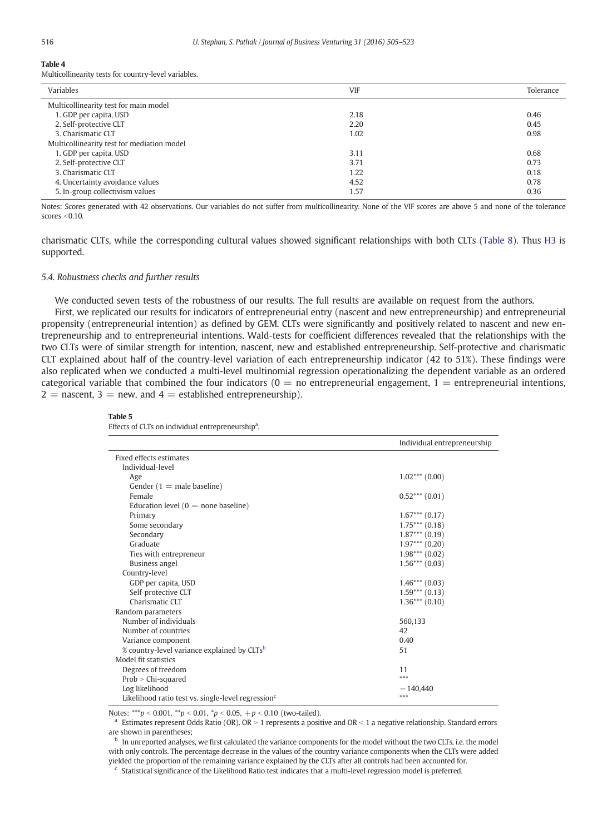# <span id="page-11-0"></span>Table 4

Multicollinearity tests for country-level variables.

| Variables                                  | <b>VIF</b> | Tolerance |
|--------------------------------------------|------------|-----------|
| Multicollinearity test for main model      |            |           |
| 1. GDP per capita, USD                     | 2.18       | 0.46      |
| 2. Self-protective CLT                     | 2.20       | 0.45      |
| 3. Charismatic CLT                         | 1.02       | 0.98      |
| Multicollinearity test for mediation model |            |           |
| 1. GDP per capita, USD                     | 3.11       | 0.68      |
| 2. Self-protective CLT                     | 3.71       | 0.73      |
| 3. Charismatic CLT                         | 1.22       | 0.18      |
| 4. Uncertainty avoidance values            | 4.52       | 0.78      |
| 5. In-group collectivism values            | 1.57       | 0.36      |

Notes: Scores generated with 42 observations. Our variables do not suffer from multicollinearity. None of the VIF scores are above 5 and none of the tolerance scores  $< 0.10$ .

charismatic CLTs, while the corresponding cultural values showed significant relationships with both CLTs ([Table 8](#page-13-0)). Thus [H3](#page-6-0) is supported.

#### 5.4. Robustness checks and further results

We conducted seven tests of the robustness of our results. The full results are available on request from the authors.

First, we replicated our results for indicators of entrepreneurial entry (nascent and new entrepreneurship) and entrepreneurial propensity (entrepreneurial intention) as defined by GEM. CLTs were significantly and positively related to nascent and new entrepreneurship and to entrepreneurial intentions. Wald-tests for coefficient differences revealed that the relationships with the two CLTs were of similar strength for intention, nascent, new and established entrepreneurship. Self-protective and charismatic CLT explained about half of the country-level variation of each entrepreneurship indicator (42 to 51%). These findings were also replicated when we conducted a multi-level multinomial regression operationalizing the dependent variable as an ordered categorical variable that combined the four indicators ( $0 =$  no entrepreneurial engagement,  $1 =$  entrepreneurial intentions,  $2 =$  nascent,  $3 =$  new, and  $4 =$  established entrepreneurship).

#### Table 5

Effects of CLTs on individual entrepreneurship<sup>a</sup>.

|                                                         | Individual entrepreneurship |
|---------------------------------------------------------|-----------------------------|
| Fixed effects estimates                                 |                             |
| Individual-level                                        |                             |
| Age                                                     | $1.02***(0.00)$             |
| Gender $(1)$ = male baseline)                           |                             |
| Female                                                  | $0.52***(0.01)$             |
| Education level ( $0 =$ none baseline)                  |                             |
| Primary                                                 | $1.67***(0.17)$             |
| Some secondary                                          | $1.75***(0.18)$             |
| Secondary                                               | $1.87***(0.19)$             |
| Graduate                                                | $1.97***$ (0.20)            |
| Ties with entrepreneur                                  | $1.98***(0.02)$             |
| <b>Business angel</b>                                   | $1.56***(0.03)$             |
| Country-level                                           |                             |
| GDP per capita, USD                                     | $1.46***(0.03)$             |
| Self-protective CLT                                     | $1.59***(0.13)$             |
| Charismatic CLT                                         | $1.36***(0.10)$             |
| Random parameters                                       |                             |
| Number of individuals                                   | 560.133                     |
| Number of countries                                     | 42                          |
| Variance component                                      | 0.40                        |
| % country-level variance explained by CLTs <sup>b</sup> | 51                          |
| Model fit statistics                                    |                             |
| Degrees of freedom                                      | 11                          |
| $Prob > Chi-squared$                                    | ***                         |
| Log likelihood                                          | $-140,440$                  |
| Likelihood ratio test vs. single-level regression $c$   | ***                         |

Notes: \*\*\*p < 0.001, \*\*p < 0.01, \*p < 0.05, +p < 0.10 (two-tailed).

Estimates represent Odds Ratio (OR). OR  $> 1$  represents a positive and OR  $< 1$  a negative relationship. Standard errors are shown in parentheses;

<sup>b</sup> In unreported analyses, we first calculated the variance components for the model without the two CLTs, i.e. the model with only controls. The percentage decrease in the values of the country variance components when the CLTs were added yielded the proportion of the remaining variance explained by the CLTs after all controls had been accounted for.

Statistical significance of the Likelihood Ratio test indicates that a multi-level regression model is preferred.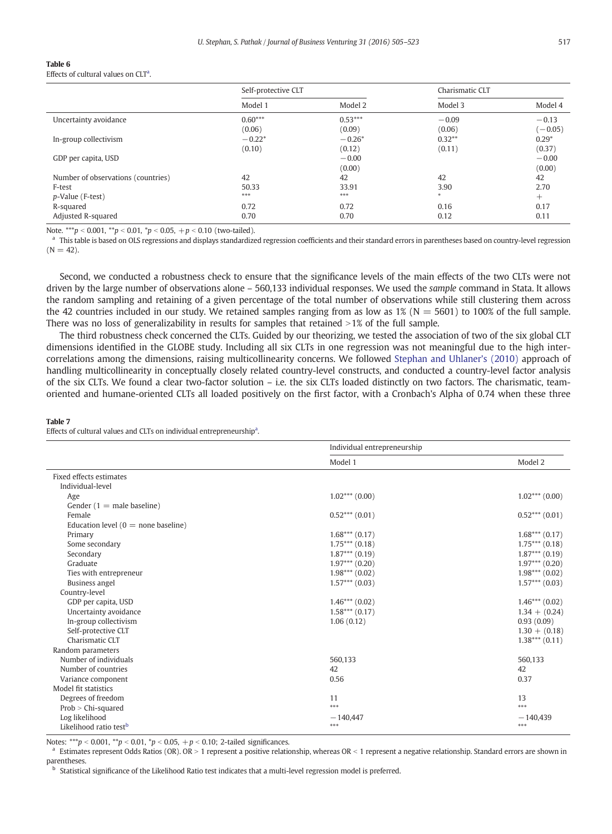<span id="page-12-0"></span>

| Table 6 |                                                  |  |  |
|---------|--------------------------------------------------|--|--|
|         | Effects of cultural values on CLT <sup>a</sup> . |  |  |

|                                    | Self-protective CLT |           | Charismatic CLT |           |
|------------------------------------|---------------------|-----------|-----------------|-----------|
|                                    | Model 1             | Model 2   | Model 3         | Model 4   |
| Uncertainty avoidance              | $0.60***$           | $0.53***$ | $-0.09$         | $-0.13$   |
|                                    | (0.06)              | (0.09)    | (0.06)          | $(-0.05)$ |
| In-group collectivism              | $-0.22*$            | $-0.26*$  | $0.32**$        | $0.29*$   |
|                                    | (0.10)              | (0.12)    | (0.11)          | (0.37)    |
| GDP per capita, USD                |                     | $-0.00$   |                 | $-0.00$   |
|                                    |                     | (0.00)    |                 | (0.00)    |
| Number of observations (countries) | 42                  | 42        | 42              | 42        |
| F-test                             | 50.33               | 33.91     | 3.90            | 2.70      |
| <i>p</i> -Value (F-test)           | $***$               | $***$     | $\ast$          | $^{+}$    |
| R-squared                          | 0.72                | 0.72      | 0.16            | 0.17      |
| Adjusted R-squared                 | 0.70                | 0.70      | 0.12            | 0.11      |

Note. \*\*\*p < 0.001, \*\*p < 0.01, \*p < 0.05, +p < 0.10 (two-tailed).

a This table is based on OLS regressions and displays standardized regression coefficients and their standard errors in parentheses based on country-level regression  $(N = 42)$ .

Second, we conducted a robustness check to ensure that the significance levels of the main effects of the two CLTs were not driven by the large number of observations alone - 560,133 individual responses. We used the sample command in Stata. It allows the random sampling and retaining of a given percentage of the total number of observations while still clustering them across the 42 countries included in our study. We retained samples ranging from as low as  $1\%$  (N = 5601) to 100% of the full sample. There was no loss of generalizability in results for samples that retained  $>1\%$  of the full sample.

The third robustness check concerned the CLTs. Guided by our theorizing, we tested the association of two of the six global CLT dimensions identified in the GLOBE study. Including all six CLTs in one regression was not meaningful due to the high intercorrelations among the dimensions, raising multicollinearity concerns. We followed [Stephan and Uhlaner's \(2010\)](#page-18-0) approach of handling multicollinearity in conceptually closely related country-level constructs, and conducted a country-level factor analysis of the six CLTs. We found a clear two-factor solution – i.e. the six CLTs loaded distinctly on two factors. The charismatic, teamoriented and humane-oriented CLTs all loaded positively on the first factor, with a Cronbach's Alpha of 0.74 when these three

#### Table 7

Effects of cultural values and CLTs on individual entrepreneurship<sup>a</sup>.

|                                        | Individual entrepreneurship |                 |
|----------------------------------------|-----------------------------|-----------------|
|                                        | Model 1                     | Model 2         |
| Fixed effects estimates                |                             |                 |
| Individual-level                       |                             |                 |
| Age                                    | $1.02***(0.00)$             | $1.02***(0.00)$ |
| Gender $(1)$ = male baseline)          |                             |                 |
| Female                                 | $0.52***(0.01)$             | $0.52***(0.01)$ |
| Education level ( $0 =$ none baseline) |                             |                 |
| Primary                                | $1.68***(0.17)$             | $1.68***(0.17)$ |
| Some secondary                         | $1.75***$ (0.18)            | $1.75***(0.18)$ |
| Secondary                              | $1.87***$ (0.19)            | $1.87***(0.19)$ |
| Graduate                               | $1.97***$ (0.20)            | $1.97***(0.20)$ |
| Ties with entrepreneur                 | $1.98***(0.02)$             | $1.98***(0.02)$ |
| <b>Business angel</b>                  | $1.57***$ (0.03)            | $1.57***(0.03)$ |
| Country-level                          |                             |                 |
| GDP per capita, USD                    | $1.46***(0.02)$             | $1.46***(0.02)$ |
| Uncertainty avoidance                  | $1.58***(0.17)$             | $1.34 + (0.24)$ |
| In-group collectivism                  | 1.06(0.12)                  | 0.93(0.09)      |
| Self-protective CLT                    |                             | $1.30 + (0.18)$ |
| Charismatic CLT                        |                             | $1.38***(0.11)$ |
| Random parameters                      |                             |                 |
| Number of individuals                  | 560,133                     | 560,133         |
| Number of countries                    | 42                          | 42              |
| Variance component                     | 0.56                        | 0.37            |
| Model fit statistics                   |                             |                 |
| Degrees of freedom                     | 11                          | 13              |
| $Prob > Chi-squared$                   | ***                         | ***             |
| Log likelihood                         | $-140.447$                  | $-140,439$      |
| Likelihood ratio test <sup>b</sup>     | ***                         | ***             |

Notes: \*\*\* $p < 0.001$ , \*\* $p < 0.01$ , \* $p < 0.05$ , + $p < 0.10$ ; 2-tailed significances.

 $^{\rm a}$  Estimates represent Odds Ratios (OR). OR > 1 represent a positive relationship, whereas OR < 1 represent a negative relationship. Standard errors are shown in parentheses.

<sup>b</sup> Statistical significance of the Likelihood Ratio test indicates that a multi-level regression model is preferred.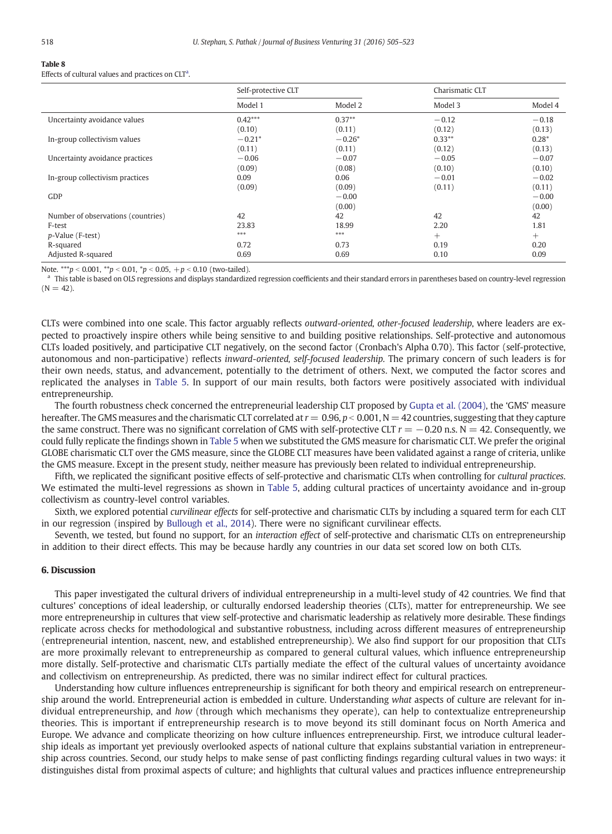#### <span id="page-13-0"></span>Table 8

Effects of cultural values and practices on CLT<sup>a</sup>.

|                                    | Self-protective CLT |          | Charismatic CLT |         |
|------------------------------------|---------------------|----------|-----------------|---------|
|                                    | Model 1             | Model 2  | Model 3         | Model 4 |
| Uncertainty avoidance values       | $0.42***$           | $0.37**$ | $-0.12$         | $-0.18$ |
|                                    | (0.10)              | (0.11)   | (0.12)          | (0.13)  |
| In-group collectivism values       | $-0.21*$            | $-0.26*$ | $0.33***$       | $0.28*$ |
|                                    | (0.11)              | (0.11)   | (0.12)          | (0.13)  |
| Uncertainty avoidance practices    | $-0.06$             | $-0.07$  | $-0.05$         | $-0.07$ |
|                                    | (0.09)              | (0.08)   | (0.10)          | (0.10)  |
| In-group collectivism practices    | 0.09                | 0.06     | $-0.01$         | $-0.02$ |
|                                    | (0.09)              | (0.09)   | (0.11)          | (0.11)  |
| GDP                                |                     | $-0.00$  |                 | $-0.00$ |
|                                    |                     | (0.00)   |                 | (0.00)  |
| Number of observations (countries) | 42                  | 42       | 42              | 42      |
| F-test                             | 23.83               | 18.99    | 2.20            | 1.81    |
| p-Value (F-test)                   | $***$               | $***$    | $^{+}$          | $^{+}$  |
| R-squared                          | 0.72                | 0.73     | 0.19            | 0.20    |
| Adjusted R-squared                 | 0.69                | 0.69     | 0.10            | 0.09    |

Note. \*\*\*p < 0.001, \*\*p < 0.01, \*p < 0.05, +p < 0.10 (two-tailed).

a This table is based on OLS regressions and displays standardized regression coefficients and their standard errors in parentheses based on country-level regression  $(N = 42)$ .

CLTs were combined into one scale. This factor arguably reflects outward-oriented, other-focused leadership, where leaders are expected to proactively inspire others while being sensitive to and building positive relationships. Self-protective and autonomous CLTs loaded positively, and participative CLT negatively, on the second factor (Cronbach's Alpha 0.70). This factor (self-protective, autonomous and non-participative) reflects inward-oriented, self-focused leadership. The primary concern of such leaders is for their own needs, status, and advancement, potentially to the detriment of others. Next, we computed the factor scores and replicated the analyses in [Table 5](#page-11-0). In support of our main results, both factors were positively associated with individual entrepreneurship.

The fourth robustness check concerned the entrepreneurial leadership CLT proposed by [Gupta et al. \(2004\)](#page-17-0), the 'GMS' measure hereafter. The GMS measures and the charismatic CLT correlated at  $r = 0.96$ ,  $p < 0.001$ , N = 42 countries, suggesting that they capture the same construct. There was no significant correlation of GMS with self-protective CLT  $r = -0.20$  n.s. N = 42. Consequently, we could fully replicate the findings shown in [Table 5](#page-11-0) when we substituted the GMS measure for charismatic CLT. We prefer the original GLOBE charismatic CLT over the GMS measure, since the GLOBE CLT measures have been validated against a range of criteria, unlike the GMS measure. Except in the present study, neither measure has previously been related to individual entrepreneurship.

Fifth, we replicated the significant positive effects of self-protective and charismatic CLTs when controlling for cultural practices. We estimated the multi-level regressions as shown in [Table 5,](#page-11-0) adding cultural practices of uncertainty avoidance and in-group collectivism as country-level control variables.

Sixth, we explored potential *curvilinear effects* for self-protective and charismatic CLTs by including a squared term for each CLT in our regression (inspired by [Bullough et al., 2014\)](#page-17-0). There were no significant curvilinear effects.

Seventh, we tested, but found no support, for an interaction effect of self-protective and charismatic CLTs on entrepreneurship in addition to their direct effects. This may be because hardly any countries in our data set scored low on both CLTs.

#### 6. Discussion

This paper investigated the cultural drivers of individual entrepreneurship in a multi-level study of 42 countries. We find that cultures' conceptions of ideal leadership, or culturally endorsed leadership theories (CLTs), matter for entrepreneurship. We see more entrepreneurship in cultures that view self-protective and charismatic leadership as relatively more desirable. These findings replicate across checks for methodological and substantive robustness, including across different measures of entrepreneurship (entrepreneurial intention, nascent, new, and established entrepreneurship). We also find support for our proposition that CLTs are more proximally relevant to entrepreneurship as compared to general cultural values, which influence entrepreneurship more distally. Self-protective and charismatic CLTs partially mediate the effect of the cultural values of uncertainty avoidance and collectivism on entrepreneurship. As predicted, there was no similar indirect effect for cultural practices.

Understanding how culture influences entrepreneurship is significant for both theory and empirical research on entrepreneurship around the world. Entrepreneurial action is embedded in culture. Understanding what aspects of culture are relevant for individual entrepreneurship, and how (through which mechanisms they operate), can help to contextualize entrepreneurship theories. This is important if entrepreneurship research is to move beyond its still dominant focus on North America and Europe. We advance and complicate theorizing on how culture influences entrepreneurship. First, we introduce cultural leadership ideals as important yet previously overlooked aspects of national culture that explains substantial variation in entrepreneurship across countries. Second, our study helps to make sense of past conflicting findings regarding cultural values in two ways: it distinguishes distal from proximal aspects of culture; and highlights that cultural values and practices influence entrepreneurship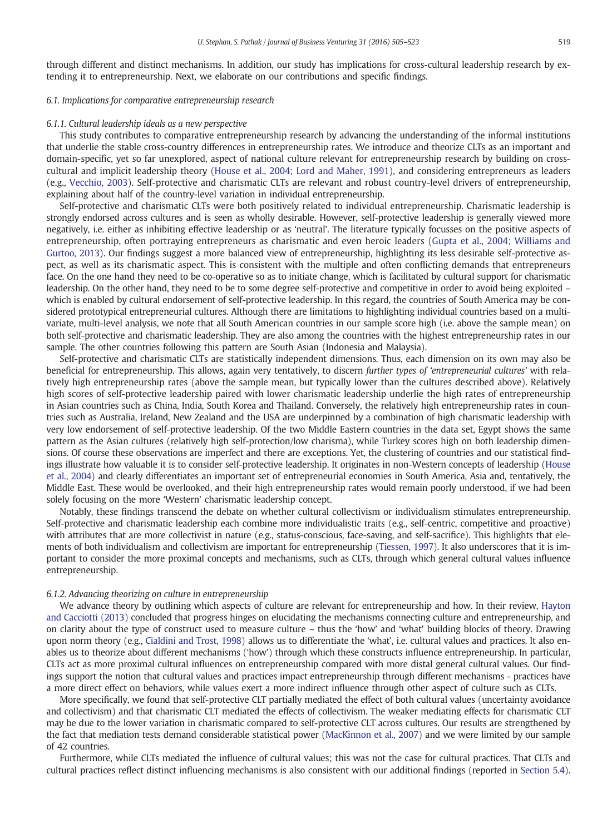through different and distinct mechanisms. In addition, our study has implications for cross-cultural leadership research by extending it to entrepreneurship. Next, we elaborate on our contributions and specific findings.

# 6.1. Implications for comparative entrepreneurship research

#### 6.1.1. Cultural leadership ideals as a new perspective

This study contributes to comparative entrepreneurship research by advancing the understanding of the informal institutions that underlie the stable cross-country differences in entrepreneurship rates. We introduce and theorize CLTs as an important and domain-specific, yet so far unexplored, aspect of national culture relevant for entrepreneurship research by building on crosscultural and implicit leadership theory ([House et al., 2004; Lord and Maher, 1991](#page-17-0)), and considering entrepreneurs as leaders (e.g., [Vecchio, 2003\)](#page-18-0). Self-protective and charismatic CLTs are relevant and robust country-level drivers of entrepreneurship, explaining about half of the country-level variation in individual entrepreneurship.

Self-protective and charismatic CLTs were both positively related to individual entrepreneurship. Charismatic leadership is strongly endorsed across cultures and is seen as wholly desirable. However, self-protective leadership is generally viewed more negatively, i.e. either as inhibiting effective leadership or as 'neutral'. The literature typically focusses on the positive aspects of entrepreneurship, often portraying entrepreneurs as charismatic and even heroic leaders [\(Gupta et al., 2004; Williams and](#page-17-0) [Gurtoo, 2013\)](#page-17-0). Our findings suggest a more balanced view of entrepreneurship, highlighting its less desirable self-protective aspect, as well as its charismatic aspect. This is consistent with the multiple and often conflicting demands that entrepreneurs face. On the one hand they need to be co-operative so as to initiate change, which is facilitated by cultural support for charismatic leadership. On the other hand, they need to be to some degree self-protective and competitive in order to avoid being exploited – which is enabled by cultural endorsement of self-protective leadership. In this regard, the countries of South America may be considered prototypical entrepreneurial cultures. Although there are limitations to highlighting individual countries based on a multivariate, multi-level analysis, we note that all South American countries in our sample score high (i.e. above the sample mean) on both self-protective and charismatic leadership. They are also among the countries with the highest entrepreneurship rates in our sample. The other countries following this pattern are South Asian (Indonesia and Malaysia).

Self-protective and charismatic CLTs are statistically independent dimensions. Thus, each dimension on its own may also be beneficial for entrepreneurship. This allows, again very tentatively, to discern further types of 'entrepreneurial cultures' with relatively high entrepreneurship rates (above the sample mean, but typically lower than the cultures described above). Relatively high scores of self-protective leadership paired with lower charismatic leadership underlie the high rates of entrepreneurship in Asian countries such as China, India, South Korea and Thailand. Conversely, the relatively high entrepreneurship rates in countries such as Australia, Ireland, New Zealand and the USA are underpinned by a combination of high charismatic leadership with very low endorsement of self-protective leadership. Of the two Middle Eastern countries in the data set, Egypt shows the same pattern as the Asian cultures (relatively high self-protection/low charisma), while Turkey scores high on both leadership dimensions. Of course these observations are imperfect and there are exceptions. Yet, the clustering of countries and our statistical findings illustrate how valuable it is to consider self-protective leadership. It originates in non-Western concepts of leadership [\(House](#page-17-0) [et al., 2004](#page-17-0)) and clearly differentiates an important set of entrepreneurial economies in South America, Asia and, tentatively, the Middle East. These would be overlooked, and their high entrepreneurship rates would remain poorly understood, if we had been solely focusing on the more 'Western' charismatic leadership concept.

Notably, these findings transcend the debate on whether cultural collectivism or individualism stimulates entrepreneurship. Self-protective and charismatic leadership each combine more individualistic traits (e.g., self-centric, competitive and proactive) with attributes that are more collectivist in nature (e.g., status-conscious, face-saving, and self-sacrifice). This highlights that elements of both individualism and collectivism are important for entrepreneurship [\(Tiessen, 1997](#page-18-0)). It also underscores that it is important to consider the more proximal concepts and mechanisms, such as CLTs, through which general cultural values influence entrepreneurship.

#### 6.1.2. Advancing theorizing on culture in entrepreneurship

We advance theory by outlining which aspects of culture are relevant for entrepreneurship and how. In their review, [Hayton](#page-17-0) [and Cacciotti \(2013\)](#page-17-0) concluded that progress hinges on elucidating the mechanisms connecting culture and entrepreneurship, and on clarity about the type of construct used to measure culture – thus the 'how' and 'what' building blocks of theory. Drawing upon norm theory (e.g., [Cialdini and Trost, 1998\)](#page-17-0) allows us to differentiate the 'what', i.e. cultural values and practices. It also enables us to theorize about different mechanisms ('how') through which these constructs influence entrepreneurship. In particular, CLTs act as more proximal cultural influences on entrepreneurship compared with more distal general cultural values. Our findings support the notion that cultural values and practices impact entrepreneurship through different mechanisms - practices have a more direct effect on behaviors, while values exert a more indirect influence through other aspect of culture such as CLTs.

More specifically, we found that self-protective CLT partially mediated the effect of both cultural values (uncertainty avoidance and collectivism) and that charismatic CLT mediated the effects of collectivism. The weaker mediating effects for charismatic CLT may be due to the lower variation in charismatic compared to self-protective CLT across cultures. Our results are strengthened by the fact that mediation tests demand considerable statistical power ([MacKinnon et al., 2007](#page-17-0)) and we were limited by our sample of 42 countries.

Furthermore, while CLTs mediated the influence of cultural values; this was not the case for cultural practices. That CLTs and cultural practices reflect distinct influencing mechanisms is also consistent with our additional findings (reported in [Section 5.4](#page-11-0)).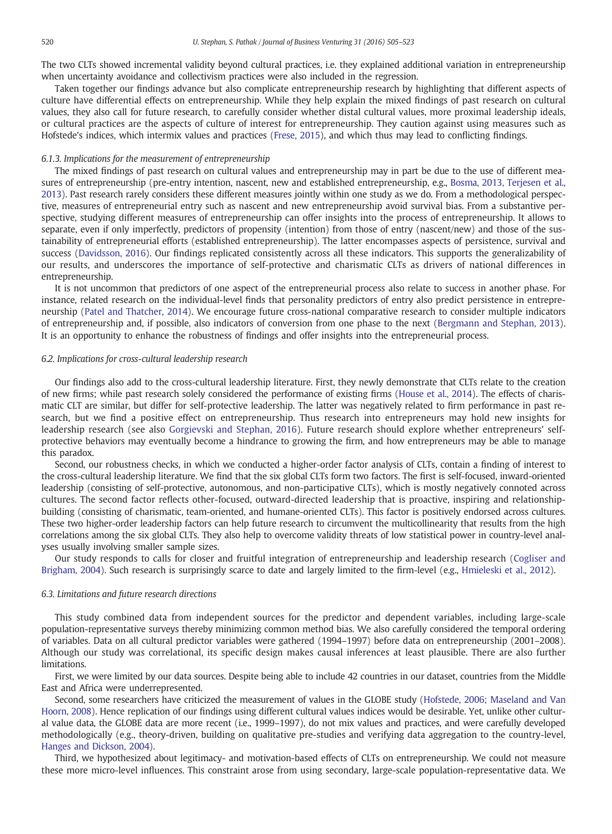The two CLTs showed incremental validity beyond cultural practices, i.e. they explained additional variation in entrepreneurship when uncertainty avoidance and collectivism practices were also included in the regression.

Taken together our findings advance but also complicate entrepreneurship research by highlighting that different aspects of culture have differential effects on entrepreneurship. While they help explain the mixed findings of past research on cultural values, they also call for future research, to carefully consider whether distal cultural values, more proximal leadership ideals, or cultural practices are the aspects of culture of interest for entrepreneurship. They caution against using measures such as Hofstede's indices, which intermix values and practices ([Frese, 2015\)](#page-17-0), and which thus may lead to conflicting findings.

# 6.1.3. Implications for the measurement of entrepreneurship

The mixed findings of past research on cultural values and entrepreneurship may in part be due to the use of different measures of entrepreneurship (pre-entry intention, nascent, new and established entrepreneurship, e.g., [Bosma, 2013, Terjesen et al.,](#page-17-0) [2013\)](#page-17-0). Past research rarely considers these different measures jointly within one study as we do. From a methodological perspective, measures of entrepreneurial entry such as nascent and new entrepreneurship avoid survival bias. From a substantive perspective, studying different measures of entrepreneurship can offer insights into the process of entrepreneurship. It allows to separate, even if only imperfectly, predictors of propensity (intention) from those of entry (nascent/new) and those of the sustainability of entrepreneurial efforts (established entrepreneurship). The latter encompasses aspects of persistence, survival and success ([Davidsson, 2016\)](#page-17-0). Our findings replicated consistently across all these indicators. This supports the generalizability of our results, and underscores the importance of self-protective and charismatic CLTs as drivers of national differences in entrepreneurship.

It is not uncommon that predictors of one aspect of the entrepreneurial process also relate to success in another phase. For instance, related research on the individual-level finds that personality predictors of entry also predict persistence in entrepreneurship [\(Patel and Thatcher, 2014\)](#page-18-0). We encourage future cross-national comparative research to consider multiple indicators of entrepreneurship and, if possible, also indicators of conversion from one phase to the next [\(Bergmann and Stephan, 2013\)](#page-17-0). It is an opportunity to enhance the robustness of findings and offer insights into the entrepreneurial process.

#### 6.2. Implications for cross-cultural leadership research

Our findings also add to the cross-cultural leadership literature. First, they newly demonstrate that CLTs relate to the creation of new firms; while past research solely considered the performance of existing firms ([House et al., 2014\)](#page-17-0). The effects of charismatic CLT are similar, but differ for self-protective leadership. The latter was negatively related to firm performance in past research, but we find a positive effect on entrepreneurship. Thus research into entrepreneurs may hold new insights for leadership research (see also [Gorgievski and Stephan, 2016](#page-17-0)). Future research should explore whether entrepreneurs' selfprotective behaviors may eventually become a hindrance to growing the firm, and how entrepreneurs may be able to manage this paradox.

Second, our robustness checks, in which we conducted a higher-order factor analysis of CLTs, contain a finding of interest to the cross-cultural leadership literature. We find that the six global CLTs form two factors. The first is self-focused, inward-oriented leadership (consisting of self-protective, autonomous, and non-participative CLTs), which is mostly negatively connoted across cultures. The second factor reflects other-focused, outward-directed leadership that is proactive, inspiring and relationshipbuilding (consisting of charismatic, team-oriented, and humane-oriented CLTs). This factor is positively endorsed across cultures. These two higher-order leadership factors can help future research to circumvent the multicollinearity that results from the high correlations among the six global CLTs. They also help to overcome validity threats of low statistical power in country-level analyses usually involving smaller sample sizes.

Our study responds to calls for closer and fruitful integration of entrepreneurship and leadership research ([Cogliser and](#page-17-0) [Brigham, 2004](#page-17-0)). Such research is surprisingly scarce to date and largely limited to the firm-level (e.g., [Hmieleski et al., 2012](#page-17-0)).

# 6.3. Limitations and future research directions

This study combined data from independent sources for the predictor and dependent variables, including large-scale population-representative surveys thereby minimizing common method bias. We also carefully considered the temporal ordering of variables. Data on all cultural predictor variables were gathered (1994–1997) before data on entrepreneurship (2001–2008). Although our study was correlational, its specific design makes causal inferences at least plausible. There are also further limitations.

First, we were limited by our data sources. Despite being able to include 42 countries in our dataset, countries from the Middle East and Africa were underrepresented.

Second, some researchers have criticized the measurement of values in the GLOBE study ([Hofstede, 2006; Maseland and Van](#page-17-0) [Hoorn, 2008](#page-17-0)). Hence replication of our findings using different cultural values indices would be desirable. Yet, unlike other cultural value data, the GLOBE data are more recent (i.e., 1999–1997), do not mix values and practices, and were carefully developed methodologically (e.g., theory-driven, building on qualitative pre-studies and verifying data aggregation to the country-level, [Hanges and Dickson, 2004\)](#page-17-0).

Third, we hypothesized about legitimacy- and motivation-based effects of CLTs on entrepreneurship. We could not measure these more micro-level influences. This constraint arose from using secondary, large-scale population-representative data. We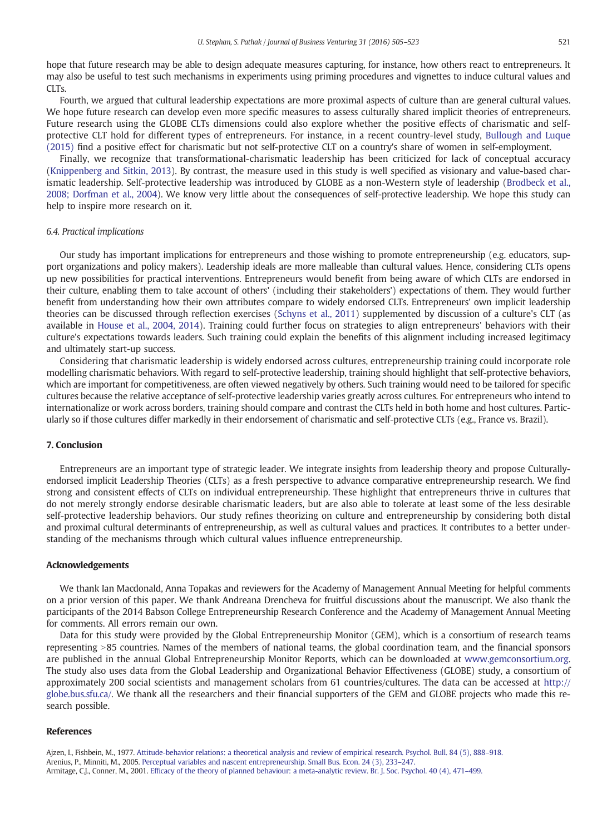<span id="page-16-0"></span>hope that future research may be able to design adequate measures capturing, for instance, how others react to entrepreneurs. It may also be useful to test such mechanisms in experiments using priming procedures and vignettes to induce cultural values and CLTs.

Fourth, we argued that cultural leadership expectations are more proximal aspects of culture than are general cultural values. We hope future research can develop even more specific measures to assess culturally shared implicit theories of entrepreneurs. Future research using the GLOBE CLTs dimensions could also explore whether the positive effects of charismatic and selfprotective CLT hold for different types of entrepreneurs. For instance, in a recent country-level study, [Bullough and Luque](#page-17-0) [\(2015\)](#page-17-0) find a positive effect for charismatic but not self-protective CLT on a country's share of women in self-employment.

Finally, we recognize that transformational-charismatic leadership has been criticized for lack of conceptual accuracy ([Knippenberg and Sitkin, 2013](#page-17-0)). By contrast, the measure used in this study is well specified as visionary and value-based charismatic leadership. Self-protective leadership was introduced by GLOBE as a non-Western style of leadership ([Brodbeck et al.,](#page-17-0) [2008; Dorfman et al., 2004\)](#page-17-0). We know very little about the consequences of self-protective leadership. We hope this study can help to inspire more research on it.

#### 6.4. Practical implications

Our study has important implications for entrepreneurs and those wishing to promote entrepreneurship (e.g. educators, support organizations and policy makers). Leadership ideals are more malleable than cultural values. Hence, considering CLTs opens up new possibilities for practical interventions. Entrepreneurs would benefit from being aware of which CLTs are endorsed in their culture, enabling them to take account of others' (including their stakeholders') expectations of them. They would further benefit from understanding how their own attributes compare to widely endorsed CLTs. Entrepreneurs' own implicit leadership theories can be discussed through reflection exercises [\(Schyns et al., 2011](#page-18-0)) supplemented by discussion of a culture's CLT (as available in [House et al., 2004, 2014](#page-17-0)). Training could further focus on strategies to align entrepreneurs' behaviors with their culture's expectations towards leaders. Such training could explain the benefits of this alignment including increased legitimacy and ultimately start-up success.

Considering that charismatic leadership is widely endorsed across cultures, entrepreneurship training could incorporate role modelling charismatic behaviors. With regard to self-protective leadership, training should highlight that self-protective behaviors, which are important for competitiveness, are often viewed negatively by others. Such training would need to be tailored for specific cultures because the relative acceptance of self-protective leadership varies greatly across cultures. For entrepreneurs who intend to internationalize or work across borders, training should compare and contrast the CLTs held in both home and host cultures. Particularly so if those cultures differ markedly in their endorsement of charismatic and self-protective CLTs (e.g., France vs. Brazil).

# 7. Conclusion

Entrepreneurs are an important type of strategic leader. We integrate insights from leadership theory and propose Culturallyendorsed implicit Leadership Theories (CLTs) as a fresh perspective to advance comparative entrepreneurship research. We find strong and consistent effects of CLTs on individual entrepreneurship. These highlight that entrepreneurs thrive in cultures that do not merely strongly endorse desirable charismatic leaders, but are also able to tolerate at least some of the less desirable self-protective leadership behaviors. Our study refines theorizing on culture and entrepreneurship by considering both distal and proximal cultural determinants of entrepreneurship, as well as cultural values and practices. It contributes to a better understanding of the mechanisms through which cultural values influence entrepreneurship.

#### Acknowledgements

We thank Ian Macdonald, Anna Topakas and reviewers for the Academy of Management Annual Meeting for helpful comments on a prior version of this paper. We thank Andreana Drencheva for fruitful discussions about the manuscript. We also thank the participants of the 2014 Babson College Entrepreneurship Research Conference and the Academy of Management Annual Meeting for comments. All errors remain our own.

Data for this study were provided by the Global Entrepreneurship Monitor (GEM), which is a consortium of research teams representing >85 countries. Names of the members of national teams, the global coordination team, and the financial sponsors are published in the annual Global Entrepreneurship Monitor Reports, which can be downloaded at [www.gemconsortium.org.](http://www.gemconsortium.org) The study also uses data from the Global Leadership and Organizational Behavior Effectiveness (GLOBE) study, a consortium of approximately 200 social scientists and management scholars from 61 countries/cultures. The data can be accessed at [http://](http://globe.bus.sfu.ca/) [globe.bus.sfu.ca/.](http://globe.bus.sfu.ca/) We thank all the researchers and their financial supporters of the GEM and GLOBE projects who made this research possible.

# References

Ajzen, I., Fishbein, M., 1977. [Attitude-behavior relations: a theoretical analysis and review of empirical research. Psychol. Bull. 84 \(5\), 888](http://refhub.elsevier.com/S0883-9026(16)30033-7/rf0005)–918. Arenius, P., Minniti, M., 2005. [Perceptual variables and nascent entrepreneurship. Small Bus. Econ. 24 \(3\), 233](http://refhub.elsevier.com/S0883-9026(16)30033-7/rf0010)–247. Armitage, C.J., Conner, M., 2001. [Efficacy of the theory of planned behaviour: a meta-analytic review. Br. J. Soc. Psychol. 40 \(4\), 471](http://refhub.elsevier.com/S0883-9026(16)30033-7/rf0015)–499.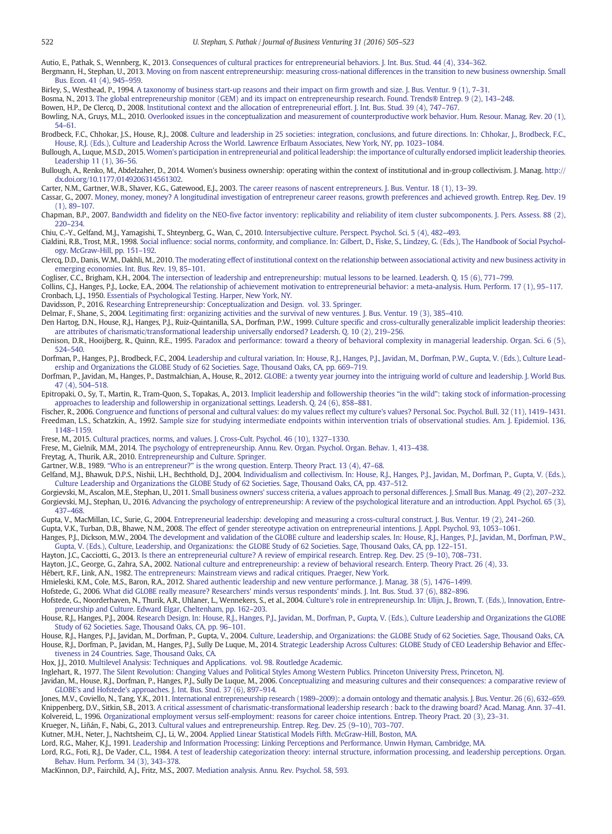<span id="page-17-0"></span>Autio, E., Pathak, S., Wennberg, K., 2013. [Consequences of cultural practices for entrepreneurial behaviors. J. Int. Bus. Stud. 44 \(4\), 334](http://refhub.elsevier.com/S0883-9026(16)30033-7/rf0020)–362. Bergmann, H., Stephan, U., 2013. [Moving on from nascent entrepreneurship: measuring cross-national differences in the transition to new business ownership. Small](http://refhub.elsevier.com/S0883-9026(16)30033-7/rf0025) [Bus. Econ. 41 \(4\), 945](http://refhub.elsevier.com/S0883-9026(16)30033-7/rf0025)–959. Birley, S., Westhead, P., 1994. [A taxonomy of business start-up reasons and their impact on firm growth and size. J. Bus. Ventur. 9 \(1\), 7](http://refhub.elsevier.com/S0883-9026(16)30033-7/rf0030)-31. Bosma, N., 2013. [The global entrepreneurship monitor \(GEM\) and its impact on entrepreneurship research. Found. Trends® Entrep. 9 \(2\), 143](http://refhub.elsevier.com/S0883-9026(16)30033-7/rf0035)–248. Bowen, H.P., De Clercq, D., 2008. [Institutional context and the allocation of entrepreneurial effort. J. Int. Bus. Stud. 39 \(4\), 747](http://refhub.elsevier.com/S0883-9026(16)30033-7/rf0040)–767. Bowling, N.A., Gruys, M.L., 2010. [Overlooked issues in the conceptualization and measurement of counterproductive work behavior. Hum. Resour. Manag. Rev. 20 \(1\),](http://refhub.elsevier.com/S0883-9026(16)30033-7/rf0045) [54](http://refhub.elsevier.com/S0883-9026(16)30033-7/rf0045)–61. Brodbeck, F.C., Chhokar, J.S., House, R.J., 2008. [Culture and leadership in 25 societies: integration, conclusions, and future directions. In: Chhokar, J., Brodbeck, F.C.,](http://refhub.elsevier.com/S0883-9026(16)30033-7/rf0050) [House, R.J. \(Eds.\), Culture and Leadership Across the World. Lawrence Erlbaum Associates, New York, NY, pp. 1023](http://refhub.elsevier.com/S0883-9026(16)30033-7/rf0050)–1084. Bullough, A., Luque, M.S.D., 2015. [Women's participation in entrepreneurial and political leadership: the importance of culturally endorsed implicit leadership theories.](http://refhub.elsevier.com/S0883-9026(16)30033-7/rf0055) [Leadership 11 \(1\), 36](http://refhub.elsevier.com/S0883-9026(16)30033-7/rf0055)–56. Bullough, A., Renko, M., Abdelzaher, D., 2014. Women's business ownership: operating within the context of institutional and in-group collectivism. J. Manag. http:// dx.doi.org[/10.1177/0149206314561302.](http://dx.doi.org/10.1177/0149206314561302) Carter, N.M., Gartner, W.B., Shaver, K.G., Gatewood, E.J., 2003. [The career reasons of nascent entrepreneurs. J. Bus. Ventur. 18 \(1\), 13](http://refhub.elsevier.com/S0883-9026(16)30033-7/rf0065)–39. Cassar, G., 2007. [Money, money, money? A longitudinal investigation of entrepreneur career reasons, growth preferences and achieved growth. Entrep. Reg. Dev. 19](http://refhub.elsevier.com/S0883-9026(16)30033-7/rf0070) [\(1\), 89](http://refhub.elsevier.com/S0883-9026(16)30033-7/rf0070)–107. Chapman, B.P., 2007. [Bandwidth and fidelity on the NEO-five factor inventory: replicability and reliability of item cluster subcomponents. J. Pers. Assess. 88 \(2\),](http://refhub.elsevier.com/S0883-9026(16)30033-7/rf0075) 220–[234.](http://refhub.elsevier.com/S0883-9026(16)30033-7/rf0075) Chiu, C.-Y., Gelfand, M.J., Yamagishi, T., Shteynberg, G., Wan, C., 2010. [Intersubjective culture. Perspect. Psychol. Sci. 5 \(4\), 482](http://refhub.elsevier.com/S0883-9026(16)30033-7/rf0080)–493. Cialdini, R.B., Trost, M.R., 1998. [Social influence: social norms, conformity, and compliance. In: Gilbert, D., Fiske, S., Lindzey, G. \(Eds.\), The Handbook of Social Psychol](http://refhub.elsevier.com/S0883-9026(16)30033-7/rf0085)[ogy. McGraw-Hill, pp. 151](http://refhub.elsevier.com/S0883-9026(16)30033-7/rf0085)–192. Clercq, D.D., Danis, W.M., Dakhli, M., 2010. [The moderating effect of institutional context on the relationship between associational activity and new business activity in](http://refhub.elsevier.com/S0883-9026(16)30033-7/rf0090) [emerging economies. Int. Bus. Rev. 19, 85](http://refhub.elsevier.com/S0883-9026(16)30033-7/rf0090)–101. Cogliser, C.C., Brigham, K.H., 2004. [The intersection of leadership and entrepreneurship: mutual lessons to be learned. Leadersh. Q. 15 \(6\), 771](http://refhub.elsevier.com/S0883-9026(16)30033-7/rf0095)–799. Collins, C.J., Hanges, P.J., Locke, E.A., 2004. [The relationship of achievement motivation to entrepreneurial behavior: a meta-analysis. Hum. Perform. 17 \(1\), 95](http://refhub.elsevier.com/S0883-9026(16)30033-7/rf0100)–117. Cronbach, L.J., 1950. [Essentials of Psychological Testing. Harper, New York, NY](http://refhub.elsevier.com/S0883-9026(16)30033-7/rf0105). Davidsson, P., 2016. [Researching Entrepreneurship: Conceptualization and Design. vol. 33. Springer](http://refhub.elsevier.com/S0883-9026(16)30033-7/rf0110). Delmar, F., Shane, S., 2004. [Legitimating first: organizing activities and the survival of new ventures. J. Bus. Ventur. 19 \(3\), 385](http://refhub.elsevier.com/S0883-9026(16)30033-7/rf0115)–410. Den Hartog, D.N., House, R.J., Hanges, P.J., Ruiz-Quintanilla, S.A., Dorfman, P.W., 1999. [Culture specific and cross-culturally generalizable implicit leadership theories:](http://refhub.elsevier.com/S0883-9026(16)30033-7/rf0120) [are attributes of charismatic/transformational leadership universally endorsed? Leadersh. Q. 10 \(2\), 219](http://refhub.elsevier.com/S0883-9026(16)30033-7/rf0120)–256. Denison, D.R., Hooijberg, R., Quinn, R.E., 1995. [Paradox and performance: toward a theory of behavioral complexity in managerial leadership. Organ. Sci. 6 \(5\),](http://refhub.elsevier.com/S0883-9026(16)30033-7/rf0125) 524–[540.](http://refhub.elsevier.com/S0883-9026(16)30033-7/rf0125) Dorfman, P., Hanges, P.J., Brodbeck, F.C., 2004. [Leadership and cultural variation. In: House, R.J., Hanges, P.J., Javidan, M., Dorfman, P.W., Gupta, V. \(Eds.\), Culture Lead](http://refhub.elsevier.com/S0883-9026(16)30033-7/rf0130)[ership and Organizations the GLOBE Study of 62 Societies. Sage, Thousand Oaks, CA, pp. 669](http://refhub.elsevier.com/S0883-9026(16)30033-7/rf0130)–719. Dorfman, P., Javidan, M., Hanges, P., Dastmalchian, A., House, R., 2012. [GLOBE: a twenty year journey into the intriguing world of culture and leadership. J. World Bus.](http://refhub.elsevier.com/S0883-9026(16)30033-7/rf0135) [47 \(4\), 504](http://refhub.elsevier.com/S0883-9026(16)30033-7/rf0135)–518. Epitropaki, O., Sy, T., Martin, R., Tram-Quon, S., Topakas, A., 2013. [Implicit leadership and followership theories](http://refhub.elsevier.com/S0883-9026(16)30033-7/rf0140) "in the wild": taking stock of information-processing [approaches to leadership and followership in organizational settings. Leadersh. Q. 24 \(6\), 858](http://refhub.elsevier.com/S0883-9026(16)30033-7/rf0140)–881. Fischer, R., 2006. [Congruence and functions of personal and cultural values: do my values reflect my culture's values? Personal. Soc. Psychol. Bull. 32 \(11\), 1419](http://refhub.elsevier.com/S0883-9026(16)30033-7/rf0145)–1431. Freedman, L.S., Schatzkin, A., 1992. [Sample size for studying intermediate endpoints within intervention trials of observational studies. Am. J. Epidemiol. 136,](http://refhub.elsevier.com/S0883-9026(16)30033-7/rf2000) 1148–[1159.](http://refhub.elsevier.com/S0883-9026(16)30033-7/rf2000) Frese, M., 2015. [Cultural practices, norms, and values. J. Cross-Cult. Psychol. 46 \(10\), 1327](http://refhub.elsevier.com/S0883-9026(16)30033-7/rf0150)–1330. Frese, M., Gielnik, M.M., 2014. [The psychology of entrepreneurship. Annu. Rev. Organ. Psychol. Organ. Behav. 1, 413](http://refhub.elsevier.com/S0883-9026(16)30033-7/rf0155)–438. Freytag, A., Thurik, A.R., 2010. [Entrepreneurship and Culture. Springer](http://refhub.elsevier.com/S0883-9026(16)30033-7/rf0160). Gartner, W.B., 1989. "Who is an entrepreneur?" [is the wrong question. Enterp. Theory Pract. 13 \(4\), 47](http://refhub.elsevier.com/S0883-9026(16)30033-7/rf2100)–68. Gelfand, M.J., Bhawuk, D.P.S., Nishii, L.H., Bechthold, D.J., 2004. [Individualism and collectivism. In: House, R.J., Hanges, P.J., Javidan, M., Dorfman, P., Gupta, V. \(Eds.\),](http://refhub.elsevier.com/S0883-9026(16)30033-7/rf0165) [Culture Leadership and Organizations the GLOBE Study of 62 Societies. Sage, Thousand Oaks, CA, pp. 437](http://refhub.elsevier.com/S0883-9026(16)30033-7/rf0165)–512. Gorgievski, M., Ascalon, M.E., Stephan, U., 2011. [Small business owners' success criteria, a values approach to personal differences. J. Small Bus. Manag. 49 \(2\), 207](http://refhub.elsevier.com/S0883-9026(16)30033-7/rf0170)–232. Gorgievski, M.J., Stephan, U., 2016. [Advancing the psychology of entrepreneurship: A review of the psychological literature and an introduction. Appl. Psychol. 65 \(3\),](http://refhub.elsevier.com/S0883-9026(16)30033-7/rf2200) 437–[468.](http://refhub.elsevier.com/S0883-9026(16)30033-7/rf2200) Gupta, V., MacMillan, I.C., Surie, G., 2004. [Entrepreneurial leadership: developing and measuring a cross-cultural construct. J. Bus. Ventur. 19 \(2\), 241](http://refhub.elsevier.com/S0883-9026(16)30033-7/rf0175)–260. Gupta, V.K., Turban, D.B., Bhawe, N.M., 2008. [The effect of gender stereotype activation on entrepreneurial intentions. J. Appl. Psychol. 93, 1053](http://refhub.elsevier.com/S0883-9026(16)30033-7/rf0180)–1061. Hanges, P.J., Dickson, M.W., 2004. [The development and validation of the GLOBE culture and leadership scales. In: House, R.J., Hanges, P.J., Javidan, M., Dorfman, P.W.,](http://refhub.elsevier.com/S0883-9026(16)30033-7/rf0185) [Gupta, V. \(Eds.\), Culture, Leadership, and Organizations: the GLOBE Study of 62 Societies. Sage, Thousand Oaks, CA, pp. 122](http://refhub.elsevier.com/S0883-9026(16)30033-7/rf0185)–151. Hayton, J.C., Cacciotti, G., 2013. [Is there an entrepreneurial culture? A review of empirical research. Entrep. Reg. Dev. 25 \(9](http://refhub.elsevier.com/S0883-9026(16)30033-7/rf0190)-10), 708-731. Hayton, J.C., George, G., Zahra, S.A., 2002. [National culture and entrepreneurship: a review of behavioral research. Enterp. Theory Pract. 26 \(4\), 33.](http://refhub.elsevier.com/S0883-9026(16)30033-7/rf0195) Hébert, R.F., Link, A.N., 1982. [The entrepreneurs: Mainstream views and radical critiques. Praeger, New York](http://refhub.elsevier.com/S0883-9026(16)30033-7/rf2300). Hmieleski, K.M., Cole, M.S., Baron, R.A., 2012. [Shared authentic leadership and new venture performance. J. Manag. 38 \(5\), 1476](http://refhub.elsevier.com/S0883-9026(16)30033-7/rf0200)–1499. Hofstede, G., 2006. [What did GLOBE really measure? Researchers' minds versus respondents' minds. J. Int. Bus. Stud. 37 \(6\), 882](http://refhub.elsevier.com/S0883-9026(16)30033-7/rf0210)–896. Hofstede, G., Noorderhaven, N., Thurik, A.R., Uhlaner, L., Wennekers, S., et al., 2004. [Culture's role in entrepreneurship. In: Ulijn, J., Brown, T. \(Eds.\), Innovation, Entre](http://refhub.elsevier.com/S0883-9026(16)30033-7/rf0215)[preneurship and Culture. Edward Elgar, Cheltenham, pp. 162](http://refhub.elsevier.com/S0883-9026(16)30033-7/rf0215)–203. House, R.J., Hanges, P.J., 2004. [Research Design. In: House, R.J., Hanges, P.J., Javidan, M., Dorfman, P., Gupta, V. \(Eds.\), Culture Leadership and Organizations the GLOBE](http://refhub.elsevier.com/S0883-9026(16)30033-7/rf0220) [Study of 62 Societies. Sage, Thousand Oaks, CA, pp. 96](http://refhub.elsevier.com/S0883-9026(16)30033-7/rf0220)–101. House, R.J., Hanges, P.J., Javidan, M., Dorfman, P., Gupta, V., 2004. [Culture, Leadership, and Organizations: the GLOBE Study of 62 Societies. Sage, Thousand Oaks, CA.](http://refhub.elsevier.com/S0883-9026(16)30033-7/rf0225) House, R.J., Dorfman, P., Javidan, M., Hanges, P.J., Sully De Luque, M., 2014. [Strategic Leadership Across Cultures: GLOBE Study of CEO Leadership Behavior and Effec](http://refhub.elsevier.com/S0883-9026(16)30033-7/rf0230)[tiveness in 24 Countries. Sage, Thousand Oaks, CA.](http://refhub.elsevier.com/S0883-9026(16)30033-7/rf0230) Hox, J.J., 2010. [Multilevel Analysis: Techniques and Applications. vol. 98. Routledge Academic](http://refhub.elsevier.com/S0883-9026(16)30033-7/rf0235). Inglehart, R., 1977. [The Silent Revolution: Changing Values and Political Styles Among Western Publics. Princeton University Press, Princeton, NJ.](http://refhub.elsevier.com/S0883-9026(16)30033-7/rf0240) Javidan, M., House, R.J., Dorfman, P., Hanges, P.J., Sully De Luque, M., 2006. [Conceptualizing and measuring cultures and their consequences: a comparative review of](http://refhub.elsevier.com/S0883-9026(16)30033-7/rf0245) [GLOBE's and Hofstede's approaches. J. Int. Bus. Stud. 37 \(6\), 897](http://refhub.elsevier.com/S0883-9026(16)30033-7/rf0245)–914. Jones, M.V., Coviello, N., Tang, Y.K., 2011. International entrepreneurship research (1989–[2009\): a domain ontology and thematic analysis. J. Bus. Ventur. 26 \(6\), 632](http://refhub.elsevier.com/S0883-9026(16)30033-7/rf0250)–659. Knippenberg, D.V., Sitkin, S.B., 2013. [A critical assessment of charismatic-transformational leadership research : back to the drawing board? Acad. Manag. Ann. 37](http://refhub.elsevier.com/S0883-9026(16)30033-7/rf0255)–41. Kolvereid, L., 1996. [Organizational employment versus self-employment: reasons for career choice intentions. Entrep. Theory Pract. 20 \(3\), 23](http://refhub.elsevier.com/S0883-9026(16)30033-7/rf0260)–31. Krueger, N., Liñán, F., Nabi, G., 2013. [Cultural values and entrepreneurship. Entrep. Reg. Dev. 25 \(9](http://refhub.elsevier.com/S0883-9026(16)30033-7/rf0265)–10), 703–707. Kutner, M.H., Neter, J., Nachtsheim, C.J., Li, W., 2004. [Applied Linear Statistical Models Fifth. McGraw-Hill, Boston, MA.](http://refhub.elsevier.com/S0883-9026(16)30033-7/rf0270)

Lord, R.G., Maher, K.J., 1991. [Leadership and Information Processing: Linking Perceptions and Performance. Unwin Hyman, Cambridge, MA.](http://refhub.elsevier.com/S0883-9026(16)30033-7/rf0275) Lord, R.G., Foti, R.J., De Vader, C.L., 1984. [A test of leadership categorization theory: internal structure, information processing, and leadership perceptions. Organ.](http://refhub.elsevier.com/S0883-9026(16)30033-7/rf0280) [Behav. Hum. Perform. 34 \(3\), 343](http://refhub.elsevier.com/S0883-9026(16)30033-7/rf0280)–378.

MacKinnon, D.P., Fairchild, A.J., Fritz, M.S., 2007. [Mediation analysis. Annu. Rev. Psychol. 58, 593.](http://refhub.elsevier.com/S0883-9026(16)30033-7/rf0285)